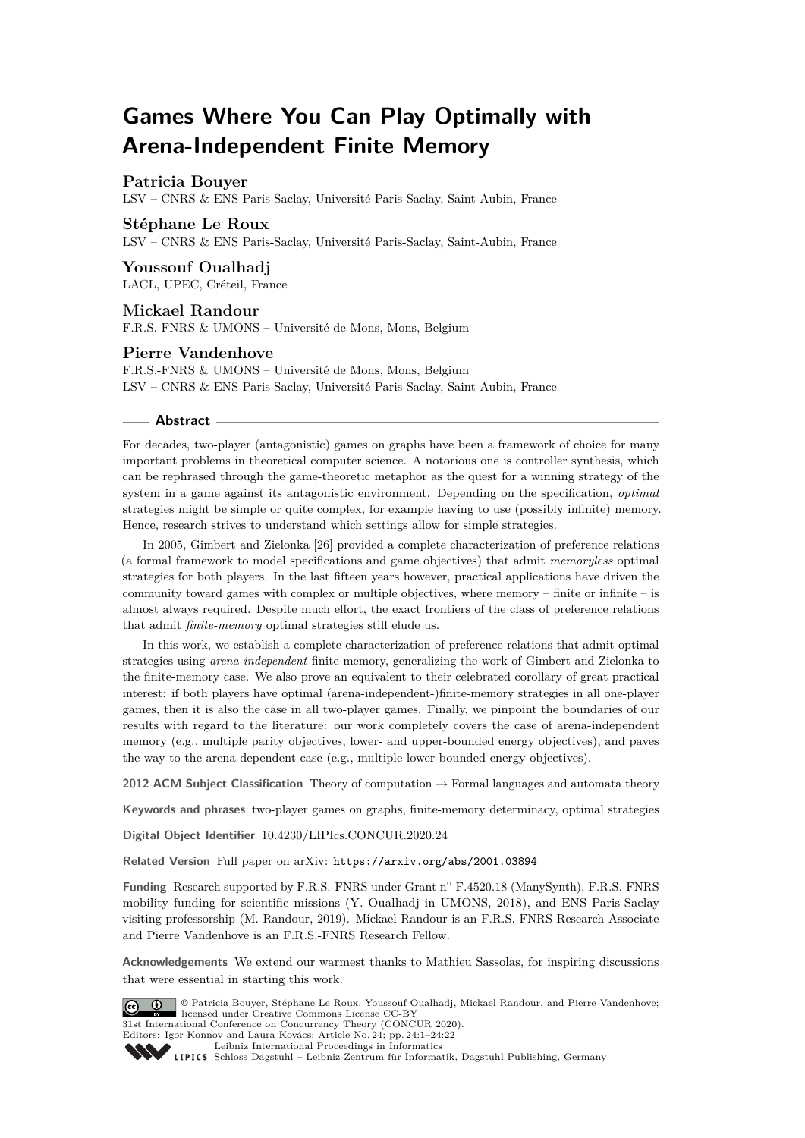# **Games Where You Can Play Optimally with Arena-Independent Finite Memory**

## **Patricia Bouyer**

LSV – CNRS & ENS Paris-Saclay, Université Paris-Saclay, Saint-Aubin, France

## **Stéphane Le Roux**

LSV – CNRS & ENS Paris-Saclay, Université Paris-Saclay, Saint-Aubin, France

## **Youssouf Oualhadj**

LACL, UPEC, Créteil, France

## **Mickael Randour**

F.R.S.-FNRS & UMONS – Université de Mons, Mons, Belgium

## **Pierre Vandenhove**

F.R.S.-FNRS & UMONS – Université de Mons, Mons, Belgium LSV – CNRS & ENS Paris-Saclay, Université Paris-Saclay, Saint-Aubin, France

#### **Abstract**

For decades, two-player (antagonistic) games on graphs have been a framework of choice for many important problems in theoretical computer science. A notorious one is controller synthesis, which can be rephrased through the game-theoretic metaphor as the quest for a winning strategy of the system in a game against its antagonistic environment. Depending on the specification, *optimal* strategies might be simple or quite complex, for example having to use (possibly infinite) memory. Hence, research strives to understand which settings allow for simple strategies.

In 2005, Gimbert and Zielonka [\[26\]](#page-16-0) provided a complete characterization of preference relations (a formal framework to model specifications and game objectives) that admit *memoryless* optimal strategies for both players. In the last fifteen years however, practical applications have driven the community toward games with complex or multiple objectives, where memory – finite or infinite – is almost always required. Despite much effort, the exact frontiers of the class of preference relations that admit *finite-memory* optimal strategies still elude us.

In this work, we establish a complete characterization of preference relations that admit optimal strategies using *arena-independent* finite memory, generalizing the work of Gimbert and Zielonka to the finite-memory case. We also prove an equivalent to their celebrated corollary of great practical interest: if both players have optimal (arena-independent-)finite-memory strategies in all one-player games, then it is also the case in all two-player games. Finally, we pinpoint the boundaries of our results with regard to the literature: our work completely covers the case of arena-independent memory (e.g., multiple parity objectives, lower- and upper-bounded energy objectives), and paves the way to the arena-dependent case (e.g., multiple lower-bounded energy objectives).

**2012 ACM Subject Classification** Theory of computation → Formal languages and automata theory

**Keywords and phrases** two-player games on graphs, finite-memory determinacy, optimal strategies

**Digital Object Identifier** [10.4230/LIPIcs.CONCUR.2020.24](https://doi.org/10.4230/LIPIcs.CONCUR.2020.24)

**Related Version** Full paper on arXiv: <https://arxiv.org/abs/2001.03894>

**Funding** Research supported by F.R.S.-FNRS under Grant n◦ F.4520.18 (ManySynth), F.R.S.-FNRS mobility funding for scientific missions (Y. Oualhadj in UMONS, 2018), and ENS Paris-Saclay visiting professorship (M. Randour, 2019). Mickael Randour is an F.R.S.-FNRS Research Associate and Pierre Vandenhove is an F.R.S.-FNRS Research Fellow.

**Acknowledgements** We extend our warmest thanks to Mathieu Sassolas, for inspiring discussions that were essential in starting this work.



© Patricia Bouyer, Stéphane Le Roux, Youssouf Oualhadj, Mickael Randour, and Pierre Vandenhove; licensed under Creative Commons License CC-BY

31st International Conference on Concurrency Theory (CONCUR 2020). Editors: Igor Konnov and Laura Kovács; Article No. 24; pp. 24:1–24[:22](#page-21-0)

[Leibniz International Proceedings in Informatics](https://www.dagstuhl.de/lipics/)

[Schloss Dagstuhl – Leibniz-Zentrum für Informatik, Dagstuhl Publishing, Germany](https://www.dagstuhl.de)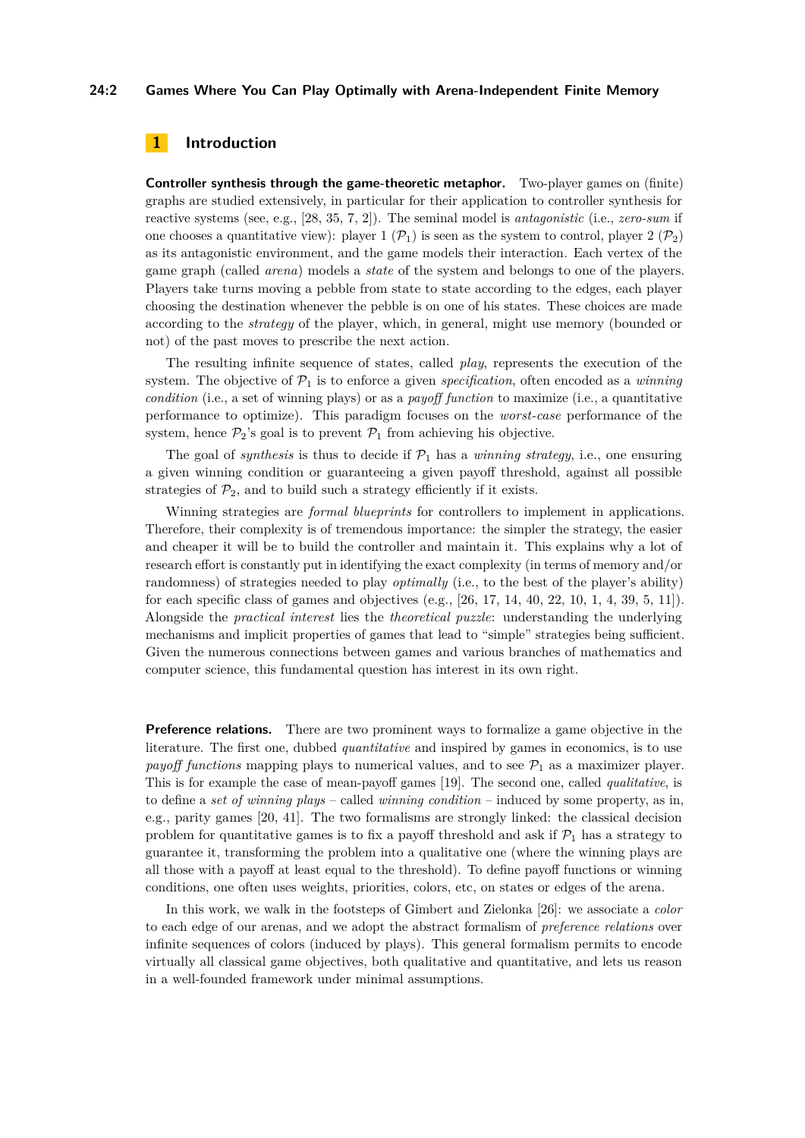## **24:2 Games Where You Can Play Optimally with Arena-Independent Finite Memory**

## <span id="page-1-0"></span>**1 Introduction**

**Controller synthesis through the game-theoretic metaphor.** Two-player games on (finite) graphs are studied extensively, in particular for their application to controller synthesis for reactive systems (see, e.g., [\[28,](#page-16-1) [35,](#page-17-0) [7,](#page-15-0) [2\]](#page-14-0)). The seminal model is *antagonistic* (i.e., *zero-sum* if one chooses a quantitative view): player 1  $(\mathcal{P}_1)$  is seen as the system to control, player 2  $(\mathcal{P}_2)$ as its antagonistic environment, and the game models their interaction. Each vertex of the game graph (called *arena*) models a *state* of the system and belongs to one of the players. Players take turns moving a pebble from state to state according to the edges, each player choosing the destination whenever the pebble is on one of his states. These choices are made according to the *strategy* of the player, which, in general, might use memory (bounded or not) of the past moves to prescribe the next action.

The resulting infinite sequence of states, called *play*, represents the execution of the system. The objective of  $P_1$  is to enforce a given *specification*, often encoded as a *winning condition* (i.e., a set of winning plays) or as a *payoff function* to maximize (i.e., a quantitative performance to optimize). This paradigm focuses on the *worst-case* performance of the system, hence  $\mathcal{P}_2$ 's goal is to prevent  $\mathcal{P}_1$  from achieving his objective.

The goal of *synthesis* is thus to decide if  $\mathcal{P}_1$  has a *winning strategy*, i.e., one ensuring a given winning condition or guaranteeing a given payoff threshold, against all possible strategies of  $\mathcal{P}_2$ , and to build such a strategy efficiently if it exists.

Winning strategies are *formal blueprints* for controllers to implement in applications. Therefore, their complexity is of tremendous importance: the simpler the strategy, the easier and cheaper it will be to build the controller and maintain it. This explains why a lot of research effort is constantly put in identifying the exact complexity (in terms of memory and/or randomness) of strategies needed to play *optimally* (i.e., to the best of the player's ability) for each specific class of games and objectives (e.g.,  $[26, 17, 14, 40, 22, 10, 1, 4, 39, 5, 11]$  $[26, 17, 14, 40, 22, 10, 1, 4, 39, 5, 11]$  $[26, 17, 14, 40, 22, 10, 1, 4, 39, 5, 11]$  $[26, 17, 14, 40, 22, 10, 1, 4, 39, 5, 11]$  $[26, 17, 14, 40, 22, 10, 1, 4, 39, 5, 11]$  $[26, 17, 14, 40, 22, 10, 1, 4, 39, 5, 11]$  $[26, 17, 14, 40, 22, 10, 1, 4, 39, 5, 11]$  $[26, 17, 14, 40, 22, 10, 1, 4, 39, 5, 11]$  $[26, 17, 14, 40, 22, 10, 1, 4, 39, 5, 11]$  $[26, 17, 14, 40, 22, 10, 1, 4, 39, 5, 11]$  $[26, 17, 14, 40, 22, 10, 1, 4, 39, 5, 11]$  $[26, 17, 14, 40, 22, 10, 1, 4, 39, 5, 11]$  $[26, 17, 14, 40, 22, 10, 1, 4, 39, 5, 11]$  $[26, 17, 14, 40, 22, 10, 1, 4, 39, 5, 11]$  $[26, 17, 14, 40, 22, 10, 1, 4, 39, 5, 11]$  $[26, 17, 14, 40, 22, 10, 1, 4, 39, 5, 11]$  $[26, 17, 14, 40, 22, 10, 1, 4, 39, 5, 11]$  $[26, 17, 14, 40, 22, 10, 1, 4, 39, 5, 11]$  $[26, 17, 14, 40, 22, 10, 1, 4, 39, 5, 11]$  $[26, 17, 14, 40, 22, 10, 1, 4, 39, 5, 11]$  $[26, 17, 14, 40, 22, 10, 1, 4, 39, 5, 11]$ ). Alongside the *practical interest* lies the *theoretical puzzle*: understanding the underlying mechanisms and implicit properties of games that lead to "simple" strategies being sufficient. Given the numerous connections between games and various branches of mathematics and computer science, this fundamental question has interest in its own right.

**Preference relations.** There are two prominent ways to formalize a game objective in the literature. The first one, dubbed *quantitative* and inspired by games in economics, is to use *payoff functions* mapping plays to numerical values, and to see  $\mathcal{P}_1$  as a maximizer player. This is for example the case of mean-payoff games [\[19\]](#page-16-4). The second one, called *qualitative*, is to define a *set of winning plays* – called *winning condition* – induced by some property, as in, e.g., parity games [\[20,](#page-16-5) [41\]](#page-17-3). The two formalisms are strongly linked: the classical decision problem for quantitative games is to fix a payoff threshold and ask if  $\mathcal{P}_1$  has a strategy to guarantee it, transforming the problem into a qualitative one (where the winning plays are all those with a payoff at least equal to the threshold). To define payoff functions or winning conditions, one often uses weights, priorities, colors, etc, on states or edges of the arena.

In this work, we walk in the footsteps of Gimbert and Zielonka [\[26\]](#page-16-0): we associate a *color* to each edge of our arenas, and we adopt the abstract formalism of *preference relations* over infinite sequences of colors (induced by plays). This general formalism permits to encode virtually all classical game objectives, both qualitative and quantitative, and lets us reason in a well-founded framework under minimal assumptions.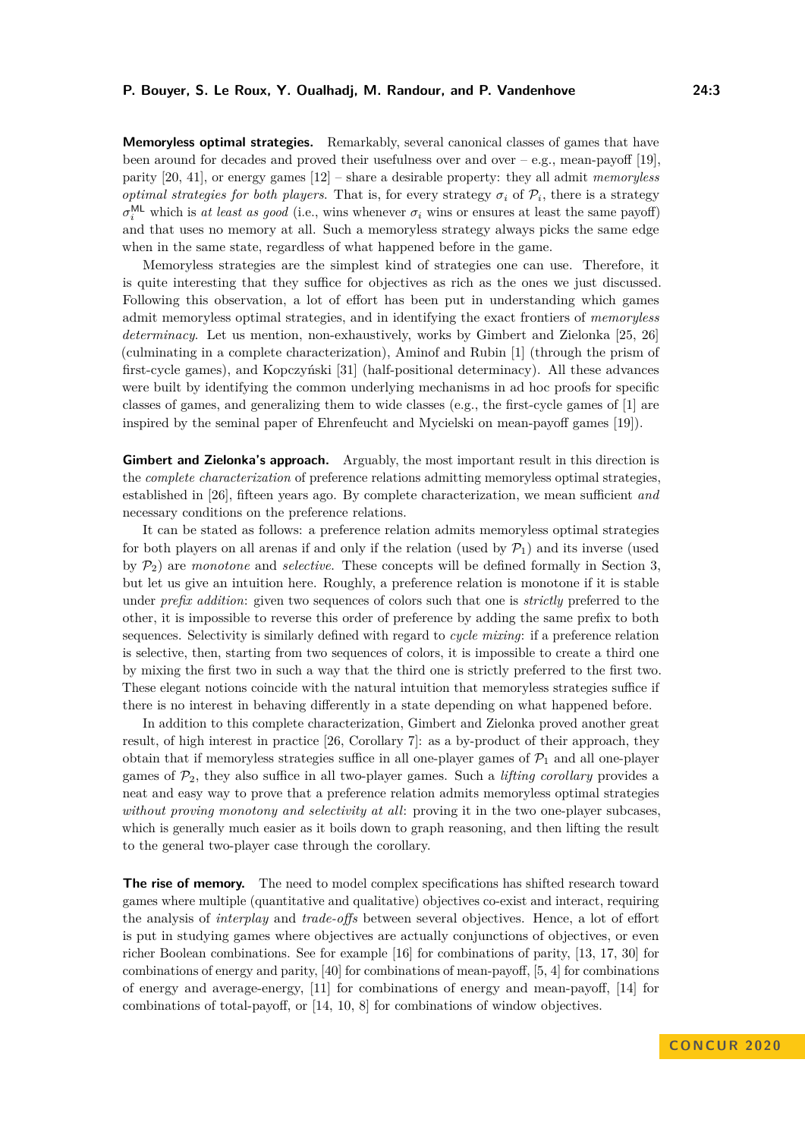**Memoryless optimal strategies.** Remarkably, several canonical classes of games that have been around for decades and proved their usefulness over and over  $-e.g.,$  mean-payoff [\[19\]](#page-16-4). parity [\[20,](#page-16-5) [41\]](#page-17-3), or energy games [\[12\]](#page-15-6) – share a desirable property: they all admit *memoryless optimal strategies for both players*. That is, for every strategy  $\sigma_i$  of  $\mathcal{P}_i$ , there is a strategy  $\sigma_i^{\text{ML}}$  which is *at least as good* (i.e., wins whenever  $\sigma_i$  wins or ensures at least the same payoff) and that uses no memory at all. Such a memoryless strategy always picks the same edge when in the same state, regardless of what happened before in the game.

Memoryless strategies are the simplest kind of strategies one can use. Therefore, it is quite interesting that they suffice for objectives as rich as the ones we just discussed. Following this observation, a lot of effort has been put in understanding which games admit memoryless optimal strategies, and in identifying the exact frontiers of *memoryless determinacy*. Let us mention, non-exhaustively, works by Gimbert and Zielonka [\[25,](#page-16-6) [26\]](#page-16-0) (culminating in a complete characterization), Aminof and Rubin [\[1\]](#page-14-1) (through the prism of first-cycle games), and Kopczyński [\[31\]](#page-17-4) (half-positional determinacy). All these advances were built by identifying the common underlying mechanisms in ad hoc proofs for specific classes of games, and generalizing them to wide classes (e.g., the first-cycle games of [\[1\]](#page-14-1) are inspired by the seminal paper of Ehrenfeucht and Mycielski on mean-payoff games [\[19\]](#page-16-4)).

**Gimbert and Zielonka's approach.** Arguably, the most important result in this direction is the *complete characterization* of preference relations admitting memoryless optimal strategies, established in [\[26\]](#page-16-0), fifteen years ago. By complete characterization, we mean sufficient *and* necessary conditions on the preference relations.

It can be stated as follows: a preference relation admits memoryless optimal strategies for both players on all arenas if and only if the relation (used by  $\mathcal{P}_1$ ) and its inverse (used by P2) are *monotone* and *selective*. These concepts will be defined formally in Section [3,](#page-8-0) but let us give an intuition here. Roughly, a preference relation is monotone if it is stable under *prefix addition*: given two sequences of colors such that one is *strictly* preferred to the other, it is impossible to reverse this order of preference by adding the same prefix to both sequences. Selectivity is similarly defined with regard to *cycle mixing*: if a preference relation is selective, then, starting from two sequences of colors, it is impossible to create a third one by mixing the first two in such a way that the third one is strictly preferred to the first two. These elegant notions coincide with the natural intuition that memoryless strategies suffice if there is no interest in behaving differently in a state depending on what happened before.

In addition to this complete characterization, Gimbert and Zielonka proved another great result, of high interest in practice [\[26,](#page-16-0) Corollary 7]: as a by-product of their approach, they obtain that if memoryless strategies suffice in all one-player games of  $\mathcal{P}_1$  and all one-player games of  $\mathcal{P}_2$ , they also suffice in all two-player games. Such a *lifting corollary* provides a neat and easy way to prove that a preference relation admits memoryless optimal strategies *without proving monotony and selectivity at all*: proving it in the two one-player subcases, which is generally much easier as it boils down to graph reasoning, and then lifting the result to the general two-player case through the corollary.

**The rise of memory.** The need to model complex specifications has shifted research toward games where multiple (quantitative and qualitative) objectives co-exist and interact, requiring the analysis of *interplay* and *trade-offs* between several objectives. Hence, a lot of effort is put in studying games where objectives are actually conjunctions of objectives, or even richer Boolean combinations. See for example [\[16\]](#page-15-7) for combinations of parity, [\[13,](#page-15-8) [17,](#page-16-2) [30\]](#page-16-7) for combinations of energy and parity, [\[40\]](#page-17-1) for combinations of mean-payoff, [\[5,](#page-15-4) [4\]](#page-15-3) for combinations of energy and average-energy, [\[11\]](#page-15-5) for combinations of energy and mean-payoff, [\[14\]](#page-15-1) for combinations of total-payoff, or [\[14,](#page-15-1) [10,](#page-15-2) [8\]](#page-15-9) for combinations of window objectives.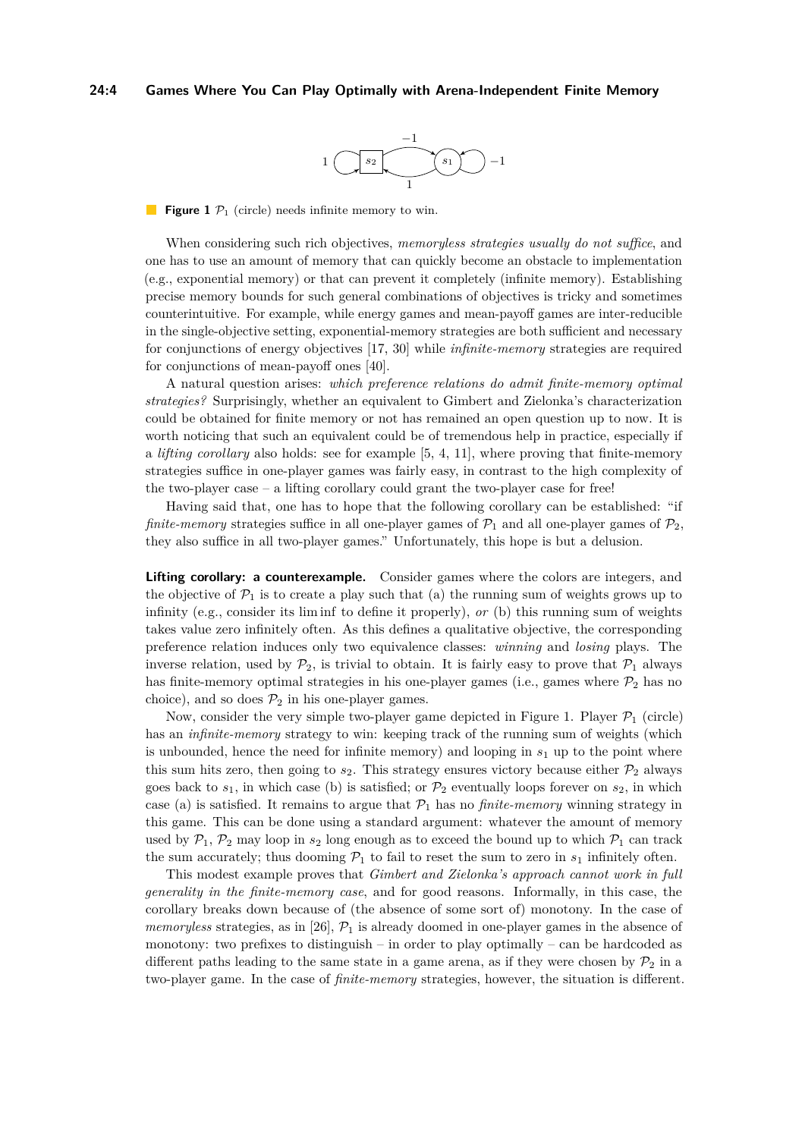## <span id="page-3-0"></span>**24:4 Games Where You Can Play Optimally with Arena-Independent Finite Memory**



**Figure 1**  $\mathcal{P}_1$  (circle) needs infinite memory to win.

When considering such rich objectives, *memoryless strategies usually do not suffice*, and one has to use an amount of memory that can quickly become an obstacle to implementation (e.g., exponential memory) or that can prevent it completely (infinite memory). Establishing precise memory bounds for such general combinations of objectives is tricky and sometimes counterintuitive. For example, while energy games and mean-payoff games are inter-reducible in the single-objective setting, exponential-memory strategies are both sufficient and necessary for conjunctions of energy objectives [\[17,](#page-16-2) [30\]](#page-16-7) while *infinite-memory* strategies are required for conjunctions of mean-payoff ones [\[40\]](#page-17-1).

A natural question arises: *which preference relations do admit finite-memory optimal strategies?* Surprisingly, whether an equivalent to Gimbert and Zielonka's characterization could be obtained for finite memory or not has remained an open question up to now. It is worth noticing that such an equivalent could be of tremendous help in practice, especially if a *lifting corollary* also holds: see for example [\[5,](#page-15-4) [4,](#page-15-3) [11\]](#page-15-5), where proving that finite-memory strategies suffice in one-player games was fairly easy, in contrast to the high complexity of the two-player case – a lifting corollary could grant the two-player case for free!

Having said that, one has to hope that the following corollary can be established: "if *finite-memory* strategies suffice in all one-player games of  $P_1$  and all one-player games of  $P_2$ , they also suffice in all two-player games." Unfortunately, this hope is but a delusion.

**Lifting corollary: a counterexample.** Consider games where the colors are integers, and the objective of  $\mathcal{P}_1$  is to create a play such that (a) the running sum of weights grows up to infinity (e.g., consider its lim inf to define it properly), *or* (b) this running sum of weights takes value zero infinitely often. As this defines a qualitative objective, the corresponding preference relation induces only two equivalence classes: *winning* and *losing* plays. The inverse relation, used by  $\mathcal{P}_2$ , is trivial to obtain. It is fairly easy to prove that  $\mathcal{P}_1$  always has finite-memory optimal strategies in his one-player games (i.e., games where  $\mathcal{P}_2$  has no choice), and so does  $\mathcal{P}_2$  in his one-player games.

Now, consider the very simple two-player game depicted in Figure [1.](#page-3-0) Player  $\mathcal{P}_1$  (circle) has an *infinite-memory* strategy to win: keeping track of the running sum of weights (which is unbounded, hence the need for infinite memory) and looping in *s*<sup>1</sup> up to the point where this sum hits zero, then going to  $s_2$ . This strategy ensures victory because either  $\mathcal{P}_2$  always goes back to  $s_1$ , in which case (b) is satisfied; or  $\mathcal{P}_2$  eventually loops forever on  $s_2$ , in which case (a) is satisfied. It remains to argue that  $P_1$  has no *finite-memory* winning strategy in this game. This can be done using a standard argument: whatever the amount of memory used by  $\mathcal{P}_1$ ,  $\mathcal{P}_2$  may loop in  $s_2$  long enough as to exceed the bound up to which  $\mathcal{P}_1$  can track the sum accurately; thus dooming  $\mathcal{P}_1$  to fail to reset the sum to zero in  $s_1$  infinitely often.

This modest example proves that *Gimbert and Zielonka's approach cannot work in full generality in the finite-memory case*, and for good reasons. Informally, in this case, the corollary breaks down because of (the absence of some sort of) monotony. In the case of *memoryless* strategies, as in [\[26\]](#page-16-0),  $P_1$  is already doomed in one-player games in the absence of monotony: two prefixes to distinguish – in order to play optimally – can be hardcoded as different paths leading to the same state in a game arena, as if they were chosen by  $\mathcal{P}_2$  in a two-player game. In the case of *finite-memory* strategies, however, the situation is different.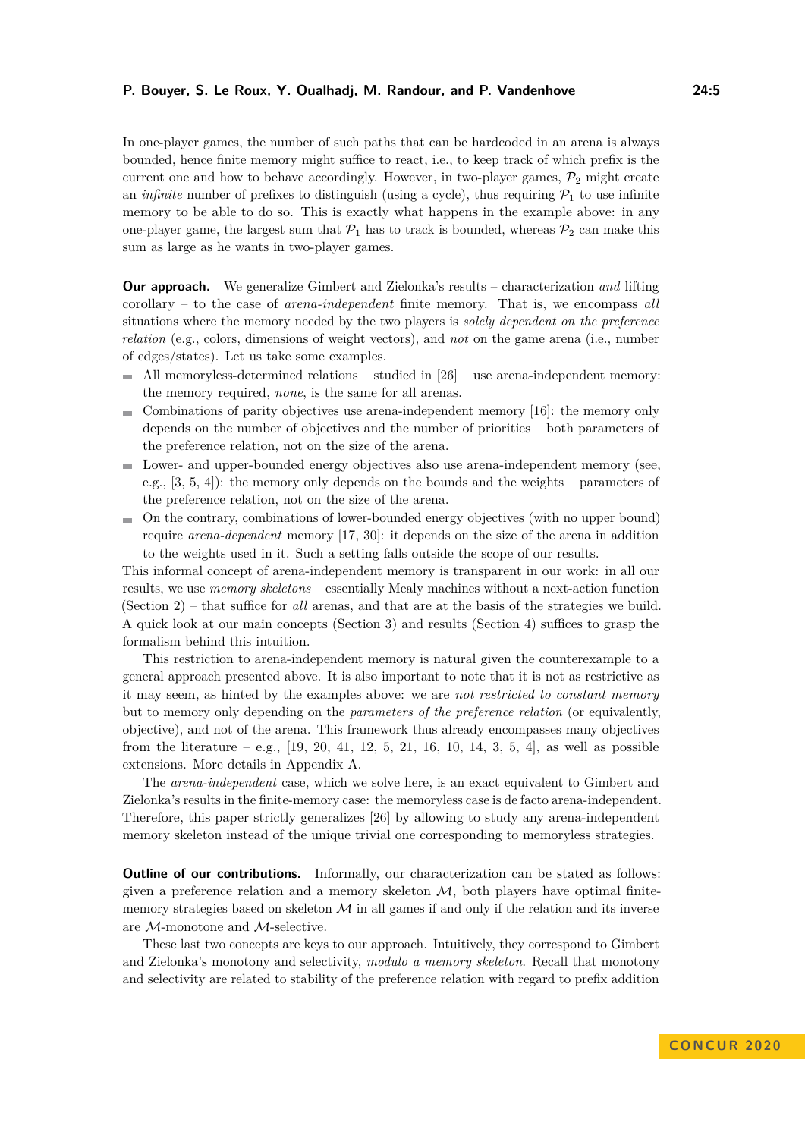In one-player games, the number of such paths that can be hardcoded in an arena is always bounded, hence finite memory might suffice to react, i.e., to keep track of which prefix is the current one and how to behave accordingly. However, in two-player games,  $\mathcal{P}_2$  might create an *infinite* number of prefixes to distinguish (using a cycle), thus requiring  $P_1$  to use infinite memory to be able to do so. This is exactly what happens in the example above: in any one-player game, the largest sum that  $\mathcal{P}_1$  has to track is bounded, whereas  $\mathcal{P}_2$  can make this sum as large as he wants in two-player games.

**Our approach.** We generalize Gimbert and Zielonka's results – characterization *and* lifting corollary – to the case of *arena-independent* finite memory. That is, we encompass *all* situations where the memory needed by the two players is *solely dependent on the preference relation* (e.g., colors, dimensions of weight vectors), and *not* on the game arena (i.e., number of edges/states). Let us take some examples.

- $\overline{\phantom{a}}$ All memoryless-determined relations – studied in [\[26\]](#page-16-0) – use arena-independent memory: the memory required, *none*, is the same for all arenas.
- $\blacksquare$  Combinations of parity objectives use arena-independent memory [\[16\]](#page-15-7): the memory only depends on the number of objectives and the number of priorities – both parameters of the preference relation, not on the size of the arena.
- Lower- and upper-bounded energy objectives also use arena-independent memory (see, e.g., [\[3,](#page-14-2) [5,](#page-15-4) [4\]](#page-15-3)): the memory only depends on the bounds and the weights – parameters of the preference relation, not on the size of the arena.
- $\blacksquare$  On the contrary, combinations of lower-bounded energy objectives (with no upper bound) require *arena-dependent* memory [\[17,](#page-16-2) [30\]](#page-16-7): it depends on the size of the arena in addition to the weights used in it. Such a setting falls outside the scope of our results.

This informal concept of arena-independent memory is transparent in our work: in all our results, we use *memory skeletons* – essentially Mealy machines without a next-action function (Section [2\)](#page-5-0) – that suffice for *all* arenas, and that are at the basis of the strategies we build. A quick look at our main concepts (Section [3\)](#page-8-0) and results (Section [4\)](#page-10-0) suffices to grasp the formalism behind this intuition.

This restriction to arena-independent memory is natural given the counterexample to a general approach presented above. It is also important to note that it is not as restrictive as it may seem, as hinted by the examples above: we are *not restricted to constant memory* but to memory only depending on the *parameters of the preference relation* (or equivalently, objective), and not of the arena. This framework thus already encompasses many objectives from the literature – e.g.,  $[19, 20, 41, 12, 5, 21, 16, 10, 14, 3, 5, 4]$  $[19, 20, 41, 12, 5, 21, 16, 10, 14, 3, 5, 4]$  $[19, 20, 41, 12, 5, 21, 16, 10, 14, 3, 5, 4]$  $[19, 20, 41, 12, 5, 21, 16, 10, 14, 3, 5, 4]$  $[19, 20, 41, 12, 5, 21, 16, 10, 14, 3, 5, 4]$  $[19, 20, 41, 12, 5, 21, 16, 10, 14, 3, 5, 4]$  $[19, 20, 41, 12, 5, 21, 16, 10, 14, 3, 5, 4]$  $[19, 20, 41, 12, 5, 21, 16, 10, 14, 3, 5, 4]$  $[19, 20, 41, 12, 5, 21, 16, 10, 14, 3, 5, 4]$  $[19, 20, 41, 12, 5, 21, 16, 10, 14, 3, 5, 4]$  $[19, 20, 41, 12, 5, 21, 16, 10, 14, 3, 5, 4]$  $[19, 20, 41, 12, 5, 21, 16, 10, 14, 3, 5, 4]$  $[19, 20, 41, 12, 5, 21, 16, 10, 14, 3, 5, 4]$  $[19, 20, 41, 12, 5, 21, 16, 10, 14, 3, 5, 4]$  $[19, 20, 41, 12, 5, 21, 16, 10, 14, 3, 5, 4]$  $[19, 20, 41, 12, 5, 21, 16, 10, 14, 3, 5, 4]$  $[19, 20, 41, 12, 5, 21, 16, 10, 14, 3, 5, 4]$  $[19, 20, 41, 12, 5, 21, 16, 10, 14, 3, 5, 4]$  $[19, 20, 41, 12, 5, 21, 16, 10, 14, 3, 5, 4]$  $[19, 20, 41, 12, 5, 21, 16, 10, 14, 3, 5, 4]$  $[19, 20, 41, 12, 5, 21, 16, 10, 14, 3, 5, 4]$ , as well as possible extensions. More details in Appendix [A.](#page-17-5)

The *arena-independent* case, which we solve here, is an exact equivalent to Gimbert and Zielonka's results in the finite-memory case: the memoryless case is de facto arena-independent. Therefore, this paper strictly generalizes [\[26\]](#page-16-0) by allowing to study any arena-independent memory skeleton instead of the unique trivial one corresponding to memoryless strategies.

**Outline of our contributions.** Informally, our characterization can be stated as follows: given a preference relation and a memory skeleton  $M$ , both players have optimal finitememory strategies based on skeleton  $\mathcal M$  in all games if and only if the relation and its inverse are M-monotone and M-selective.

These last two concepts are keys to our approach. Intuitively, they correspond to Gimbert and Zielonka's monotony and selectivity, *modulo a memory skeleton*. Recall that monotony and selectivity are related to stability of the preference relation with regard to prefix addition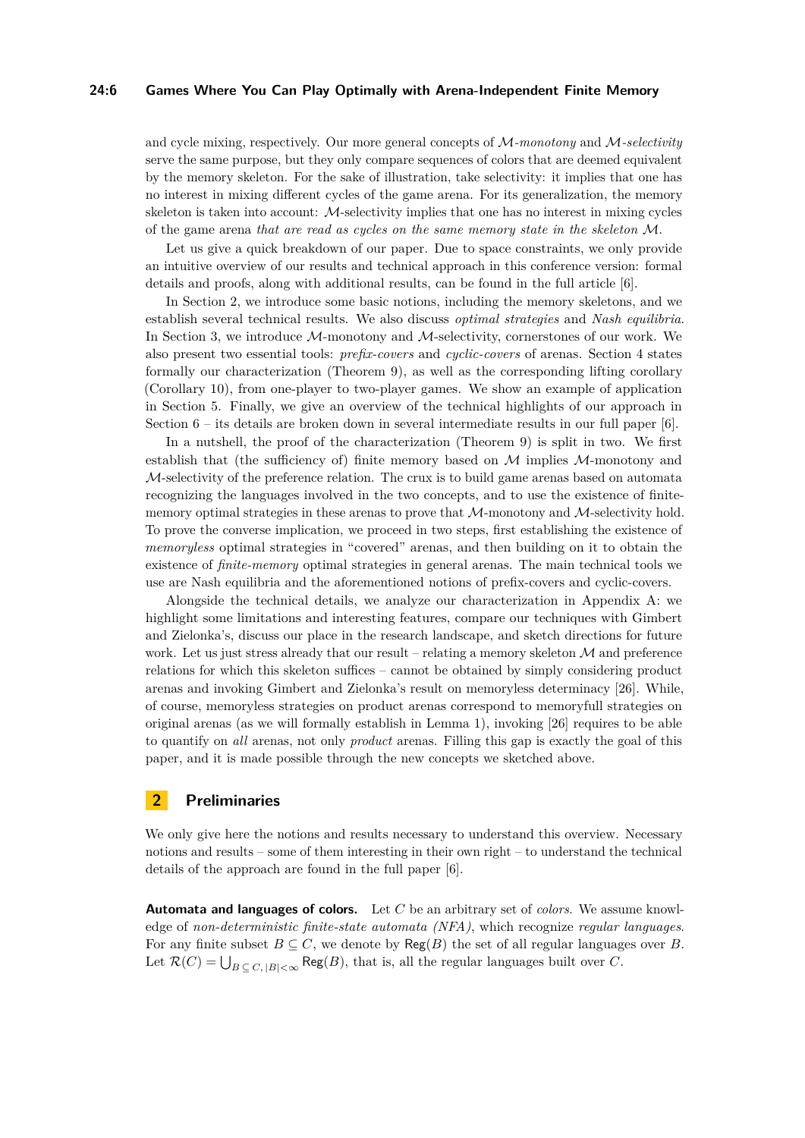## **24:6 Games Where You Can Play Optimally with Arena-Independent Finite Memory**

and cycle mixing, respectively. Our more general concepts of M*-monotony* and M*-selectivity* serve the same purpose, but they only compare sequences of colors that are deemed equivalent by the memory skeleton. For the sake of illustration, take selectivity: it implies that one has no interest in mixing different cycles of the game arena. For its generalization, the memory skeleton is taken into account:  $M$ -selectivity implies that one has no interest in mixing cycles of the game arena *that are read as cycles on the same memory state in the skeleton* M.

Let us give a quick breakdown of our paper. Due to space constraints, we only provide an intuitive overview of our results and technical approach in this conference version: formal details and proofs, along with additional results, can be found in the full article [\[6\]](#page-15-10).

In Section [2,](#page-5-0) we introduce some basic notions, including the memory skeletons, and we establish several technical results. We also discuss *optimal strategies* and *Nash equilibria*. In Section [3,](#page-8-0) we introduce  $M$ -monotony and  $M$ -selectivity, cornerstones of our work. We also present two essential tools: *prefix-covers* and *cyclic-covers* of arenas. Section [4](#page-10-0) states formally our characterization (Theorem [9\)](#page-10-1), as well as the corresponding lifting corollary (Corollary [10\)](#page-10-2), from one-player to two-player games. We show an example of application in Section [5.](#page-11-0) Finally, we give an overview of the technical highlights of our approach in Section  $6 -$  its details are broken down in several intermediate results in our full paper [\[6\]](#page-15-10).

In a nutshell, the proof of the characterization (Theorem [9\)](#page-10-1) is split in two. We first establish that (the sufficiency of) finite memory based on  $M$  implies  $M$ -monotony and M-selectivity of the preference relation. The crux is to build game arenas based on automata recognizing the languages involved in the two concepts, and to use the existence of finitememory optimal strategies in these arenas to prove that  $M$ -monotony and  $M$ -selectivity hold. To prove the converse implication, we proceed in two steps, first establishing the existence of *memoryless* optimal strategies in "covered" arenas, and then building on it to obtain the existence of *finite-memory* optimal strategies in general arenas. The main technical tools we use are Nash equilibria and the aforementioned notions of prefix-covers and cyclic-covers.

Alongside the technical details, we analyze our characterization in Appendix [A:](#page-17-5) we highlight some limitations and interesting features, compare our techniques with Gimbert and Zielonka's, discuss our place in the research landscape, and sketch directions for future work. Let us just stress already that our result – relating a memory skeleton  $M$  and preference relations for which this skeleton suffices – cannot be obtained by simply considering product arenas and invoking Gimbert and Zielonka's result on memoryless determinacy [\[26\]](#page-16-0). While, of course, memoryless strategies on product arenas correspond to memoryfull strategies on original arenas (as we will formally establish in Lemma [1\)](#page-8-1), invoking [\[26\]](#page-16-0) requires to be able to quantify on *all* arenas, not only *product* arenas. Filling this gap is exactly the goal of this paper, and it is made possible through the new concepts we sketched above.

## <span id="page-5-0"></span>**2 Preliminaries**

We only give here the notions and results necessary to understand this overview. Necessary notions and results – some of them interesting in their own right – to understand the technical details of the approach are found in the full paper [\[6\]](#page-15-10).

**Automata and languages of colors.** Let *C* be an arbitrary set of *colors*. We assume knowledge of *non-deterministic finite-state automata (NFA)*, which recognize *regular languages*. For any finite subset  $B \subseteq C$ , we denote by  $Reg(B)$  the set of all regular languages over *B*. Let  $\mathcal{R}(C) = \bigcup_{B \subseteq C, |B| < \infty} \mathsf{Reg}(B)$ , that is, all the regular languages built over *C*.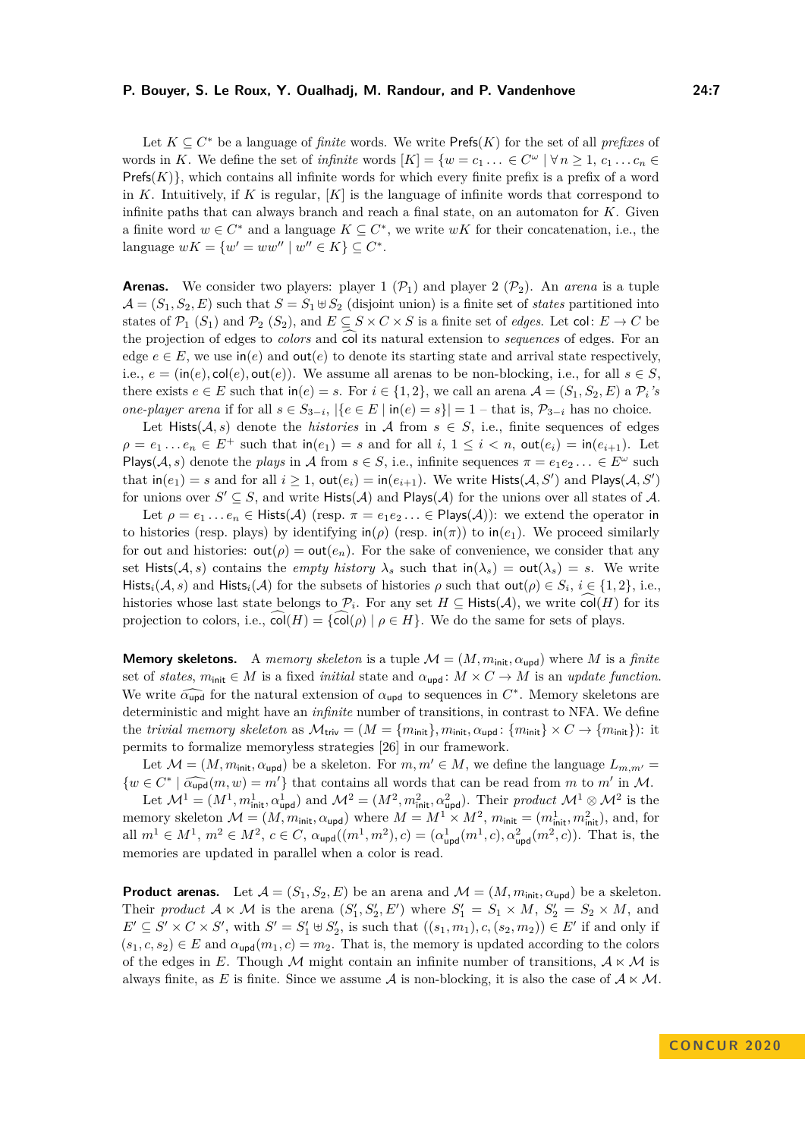Let  $K \subseteq C^*$  be a language of *finite* words. We write  $\mathsf{Prefs}(K)$  for the set of all *prefixes* of words in *K*. We define the set of *infinite* words  $[K] = \{w = c_1 \ldots \in C^{\omega} \mid \forall n \geq 1, c_1 \ldots c_n \in C^{\omega} \}$  $\text{Prefs}(K)$ , which contains all infinite words for which every finite prefix is a prefix of a word in *K*. Intuitively, if *K* is regular, [*K*] is the language of infinite words that correspond to infinite paths that can always branch and reach a final state, on an automaton for *K*. Given a finite word  $w \in C^*$  and a language  $K \subseteq C^*$ , we write  $wK$  for their concatenation, i.e., the language  $wK = \{w' = ww'' \mid w'' \in K\} \subseteq C^*$ .

**Arenas.** We consider two players: player  $1(\mathcal{P}_1)$  and player  $2(\mathcal{P}_2)$ . An *arena* is a tuple  $\mathcal{A} = (S_1, S_2, E)$  such that  $S = S_1 \oplus S_2$  (disjoint union) is a finite set of *states* partitioned into states of  $\mathcal{P}_1$  (*S*<sub>1</sub>) and  $\mathcal{P}_2$  (*S*<sub>2</sub>), and  $E \subseteq S \times C \times S$  is a finite set of *edges*. Let col:  $E \to C$  be the projection of edges to *colors* and col its natural extension to *sequences* of edges. For an edge  $e \in E$ , we use  $\text{in}(e)$  and  $\text{out}(e)$  to denote its starting state and arrival state respectively, i.e.,  $e = (\text{in}(e), \text{col}(e), \text{out}(e))$ . We assume all arenas to be non-blocking, i.e., for all  $s \in S$ , there exists  $e \in E$  such that  $\text{in}(e) = s$ . For  $i \in \{1, 2\}$ , we call an arena  $\mathcal{A} = (S_1, S_2, E)$  a  $\mathcal{P}_i$ 's *one-player arena* if for all  $s \in S_{3-i}$ ,  $|\{e \in E \mid \text{in}(e) = s\}| = 1 - \text{that is}, \mathcal{P}_{3-i}$  has no choice.

Let Hists( $A, s$ ) denote the *histories* in A from  $s \in S$ , i.e., finite sequences of edges  $\rho = e_1 \ldots e_n \in E^+$  such that  $\text{in}(e_1) = s$  and for all  $i, 1 \leq i < n$ ,  $\text{out}(e_i) = \text{in}(e_{i+1})$ . Let Plays( $A, s$ ) denote the *plays* in A from  $s \in S$ , i.e., infinite sequences  $\pi = e_1 e_2 \dots \in E^{\omega}$  such that  $\text{in}(e_1) = s$  and for all  $i \geq 1$ ,  $\text{out}(e_i) = \text{in}(e_{i+1})$ . We write  $\text{Hist}(A, S')$  and  $\text{Plays}(A, S')$ for unions over  $S' \subseteq S$ , and write  $Hists(\mathcal{A})$  and  $Plays(\mathcal{A})$  for the unions over all states of  $\mathcal{A}$ .

Let  $\rho = e_1 \ldots e_n \in \text{Hist}(\mathcal{A})$  (resp.  $\pi = e_1e_2 \ldots \in \text{Plays}(\mathcal{A})$ ): we extend the operator in to histories (resp. plays) by identifying  $\text{in}(\rho)$  (resp.  $\text{in}(\pi)$ ) to  $\text{in}(e_1)$ . We proceed similarly for out and histories:  $\text{out}(\rho) = \text{out}(e_n)$ . For the sake of convenience, we consider that any set Hists( $A, s$ ) contains the *empty history*  $\lambda_s$  such that  $\text{in}(\lambda_s) = \text{out}(\lambda_s) = s$ . We write Hists<sub>*i*</sub>(*A*, *s*) and Hists<sub>*i*</sub>(*A*) for the subsets of histories  $\rho$  such that  $\text{out}(\rho) \in S_i$ ,  $i \in \{1,2\}$ , i.e., histories whose last state belongs to  $\mathcal{P}_i$ . For any set  $H \subseteq H$ ists(A), we write  $col(H)$  for its projection to colors, i.e.,  $\widehat{\text{col}}(H) = {\widehat{\text{col}}(\rho) | \rho \in H}$ . We do the same for sets of plays.

**Memory skeletons.** A *memory skeleton* is a tuple  $\mathcal{M} = (M, m_{\text{init}}, \alpha_{\text{upd}})$  where M is a *finite* set of *states*,  $m_{\text{init}} \in M$  is a fixed *initial* state and  $\alpha_{\text{upd}} : M \times C \to M$  is an *update function*. We write  $\widehat{\alpha_{\text{upd}}}$  for the natural extension of  $\alpha_{\text{upd}}$  to sequences in  $C^*$ . Memory skeletons are deterministic and might have an *infinite* number of transitions in centrat to NFA. We define deterministic and might have an *infinite* number of transitions, in contrast to NFA. We define the *trivial memory skeleton* as  $\mathcal{M}_{\text{triv}} = (M = \{m_{\text{init}}\}, m_{\text{init}}, \alpha_{\text{upd}} : \{m_{\text{init}}\} \times C \rightarrow \{m_{\text{init}}\}$ : it permits to formalize memoryless strategies [\[26\]](#page-16-0) in our framework.

Let  $\mathcal{M} = (M, m_{\text{init}}, \alpha_{\text{upd}})$  be a skeleton. For  $m, m' \in M$ , we define the language  $L_{m,m'} =$  $\{w \in C^* \mid \widehat{\alpha_{\text{upd}}}(m, w) = m'\}$  that contains all words that can be read from *m* to *m'* in *M*.

Let  $\mathcal{M}^1 = (M^1, m_{\text{init}}^1, \alpha_{\text{upd}}^1)$  and  $\mathcal{M}^2 = (M^2, m_{\text{init}}^2, \alpha_{\text{upd}}^2)$ . Their *product*  $\mathcal{M}^1 \otimes \mathcal{M}^2$  is the memory skeleton  $\mathcal{M} = (M, m_{\text{init}}, \alpha_{\text{upd}})$  where  $M = M^1 \times M^2$ ,  $m_{\text{init}} = (m_{\text{init}}^1, m_{\text{init}}^2)$ , and, for all  $m^1 \in M^1$ ,  $m^2 \in M^2$ ,  $c \in C$ ,  $\alpha_{\text{upd}}((m^1, m^2), c) = (\alpha_{\text{upd}}^1(m^1, c), \alpha_{\text{upd}}^2(m^2, c))$ . That is, the memories are updated in parallel when a color is read.

**Product arenas.** Let  $\mathcal{A} = (S_1, S_2, E)$  be an arena and  $\mathcal{M} = (M, m_{\text{init}}, \alpha_{\text{upd}})$  be a skeleton. Their *product*  $A \times M$  is the arena  $(S'_1, S'_2, E')$  where  $S'_1 = S_1 \times M$ ,  $S'_2 = S_2 \times M$ , and  $E' \subseteq S' \times C \times S'$ , with  $S' = S'_1 \oplus S'_2$ , is such that  $((s_1, m_1), c, (s_2, m_2)) \in E'$  if and only if  $(s_1, c, s_2) \in E$  and  $\alpha_{\text{und}}(m_1, c) = m_2$ . That is, the memory is updated according to the colors of the edges in *E*. Though M might contain an infinite number of transitions,  $A \times M$  is always finite, as E is finite. Since we assume A is non-blocking, it is also the case of  $A \times M$ .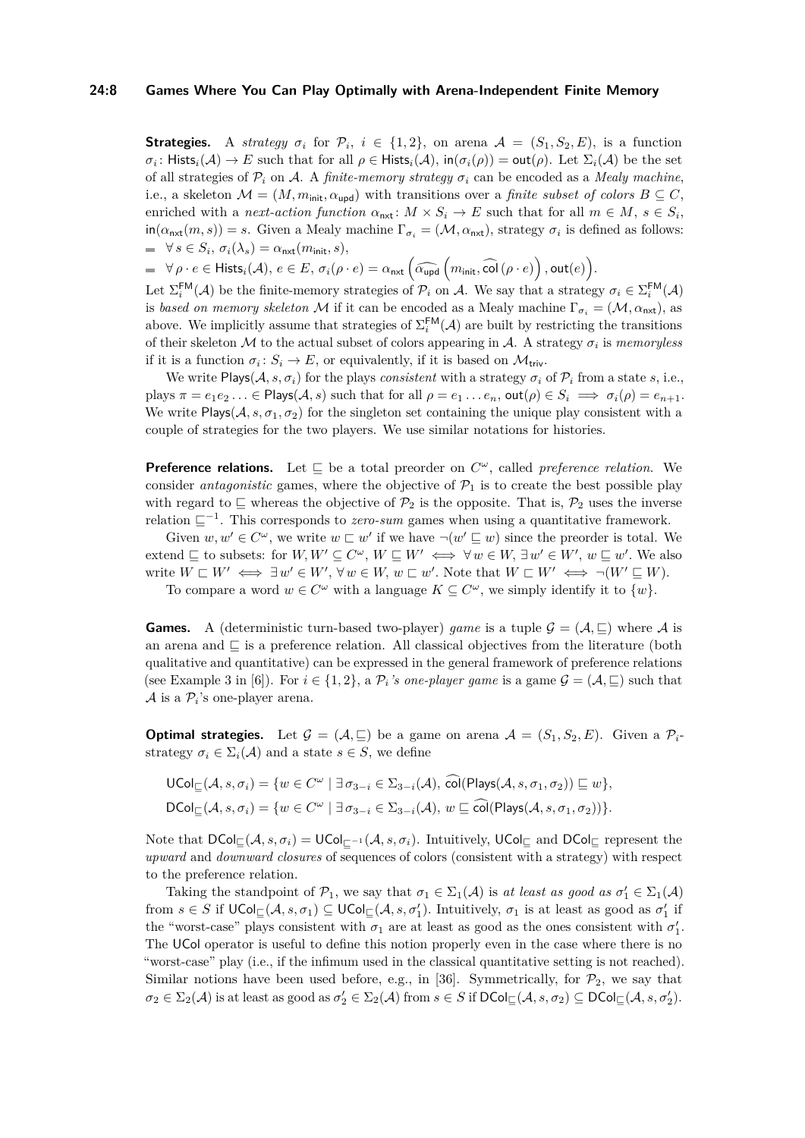## **24:8 Games Where You Can Play Optimally with Arena-Independent Finite Memory**

**Strategies.** A *strategy*  $\sigma_i$  for  $\mathcal{P}_i$ ,  $i \in \{1,2\}$ , on arena  $\mathcal{A} = (S_1, S_2, E)$ , is a function  $\sigma_i$ : Hists $_i(\mathcal{A}) \to E$  such that for all  $\rho \in \mathsf{Hists}_i(\mathcal{A}), \mathsf{in}(\sigma_i(\rho)) = \mathsf{out}(\rho)$ . Let  $\Sigma_i(\mathcal{A})$  be the set of all strategies of  $\mathcal{P}_i$  on A. A *finite-memory strategy*  $\sigma_i$  can be encoded as a *Mealy machine*, i.e., a skeleton  $\mathcal{M} = (M, m_{\text{init}}, \alpha_{\text{upd}})$  with transitions over a *finite subset of colors*  $B \subseteq C$ , enriched with a *next-action function*  $\alpha_{\text{nat}}$ :  $M \times S_i \to E$  such that for all  $m \in M$ ,  $s \in S_i$ ,  $\text{in}(\alpha_{\text{next}}(m, s)) = s$ . Given a Mealy machine  $\Gamma_{\sigma_i} = (\mathcal{M}, \alpha_{\text{next}})$ , strategy  $\sigma_i$  is defined as follows:  $\forall s \in S_i$ ,  $\sigma_i(\lambda_s) = \alpha_{\textsf{nxt}}(m_{\textsf{init}}, s)$ ,

 $\forall \rho \cdot e \in \mathsf{Hists}_i(\mathcal{A}),\, e \in E,\, \sigma_i(\rho \cdot e) = \alpha_{\mathsf{nxt}}\left(\widehat{\alpha_{\mathsf{upd}}}\left(m_{\mathsf{init}}, \widehat{\mathsf{col}}\left(\rho \cdot e\right)\right), \mathsf{out}(e)\right).$ 

Let  $\Sigma_i^{\text{FM}}(\mathcal{A})$  be the finite-memory strategies of  $\mathcal{P}_i$  on  $\mathcal{A}$ . We say that a strategy  $\sigma_i \in \Sigma_i^{\text{FM}}(\mathcal{A})$ is *based on memory skeleton* M if it can be encoded as a Mealy machine  $\Gamma_{\sigma_i} = (\mathcal{M}, \alpha_{\text{next}})$ , as above. We implicitly assume that strategies of  $\Sigma_i^{\text{FM}}(\mathcal{A})$  are built by restricting the transitions of their skeleton  $M$  to the actual subset of colors appearing in  $A$ . A strategy  $\sigma_i$  is *memoryless* if it is a function  $\sigma_i: S_i \to E$ , or equivalently, if it is based on  $\mathcal{M}_{\text{triv}}$ .

We write Plays( $A, s, \sigma_i$ ) for the plays *consistent* with a strategy  $\sigma_i$  of  $\mathcal{P}_i$  from a state *s*, i.e., plays  $\pi = e_1e_2... \in \text{Plays}(\mathcal{A}, s)$  such that for all  $\rho = e_1...e_n$ , out $(\rho) \in S_i \implies \sigma_i(\rho) = e_{n+1}$ . We write Plays( $A, s, \sigma_1, \sigma_2$ ) for the singleton set containing the unique play consistent with a couple of strategies for the two players. We use similar notations for histories.

**Preference relations.** Let  $\subseteq$  be a total preorder on  $C^{\omega}$ , called *preference relation*. We consider *antagonistic* games, where the objective of  $P_1$  is to create the best possible play with regard to  $\subseteq$  whereas the objective of  $\mathcal{P}_2$  is the opposite. That is,  $\mathcal{P}_2$  uses the inverse relation  $\sqsubseteq^{-1}$ . This corresponds to *zero-sum* games when using a quantitative framework.

Given  $w, w' \in C^{\omega}$ , we write  $w \sqsubset w'$  if we have  $\neg(w' \sqsubseteq w)$  since the preorder is total. We extend  $\subseteq$  to subsets: for  $W, W' \subseteq C^{\omega}, W \sqsubseteq W' \iff \forall w \in W, \exists w' \in W', w \sqsubseteq w'$ . We also write  $W \sqsubset W' \iff \exists w' \in W', \forall w \in W, w \sqsubset w'.$  Note that  $W \sqsubset W' \iff \neg(W' \sqsubseteq W)$ .

To compare a word  $w \in C^{\omega}$  with a language  $K \subseteq C^{\omega}$ , we simply identify it to  $\{w\}$ .

**Games.** A (deterministic turn-based two-player) *game* is a tuple  $\mathcal{G} = (\mathcal{A}, \sqsubseteq)$  where  $\mathcal{A}$  is an arena and  $\Box$  is a preference relation. All classical objectives from the literature (both qualitative and quantitative) can be expressed in the general framework of preference relations (see Example 3 in [\[6\]](#page-15-10)). For  $i \in \{1, 2\}$ , a  $\mathcal{P}_i$ *'s one-player game* is a game  $\mathcal{G} = (\mathcal{A}, \sqsubseteq)$  such that  $A$  is a  $\mathcal{P}_i$ 's one-player arena.

**Optimal strategies.** Let  $\mathcal{G} = (\mathcal{A}, \sqsubseteq)$  be a game on arena  $\mathcal{A} = (S_1, S_2, E)$ . Given a  $\mathcal{P}_i$ strategy  $\sigma_i \in \Sigma_i(\mathcal{A})$  and a state  $s \in S$ , we define

$$
\mathsf{UCol}_{\sqsubseteq}(\mathcal{A}, s, \sigma_i) = \{ w \in C^{\omega} \mid \exists \sigma_{3-i} \in \Sigma_{3-i}(\mathcal{A}), \text{ col}(\mathsf{Plays}(\mathcal{A}, s, \sigma_1, \sigma_2)) \sqsubseteq w \},\
$$
  

$$
\mathsf{DCol}_{\sqsubseteq}(\mathcal{A}, s, \sigma_i) = \{ w \in C^{\omega} \mid \exists \sigma_{3-i} \in \Sigma_{3-i}(\mathcal{A}), w \sqsubseteq \widehat{\text{col}}(\mathsf{Plays}(\mathcal{A}, s, \sigma_1, \sigma_2)) \}.
$$

Note that DCol<sub>⊏</sub>(*A*, *s*, *σ*<sub>*i*</sub>) = UCol<sub>⊏</sub>-1(*A*, *s*, *σ*<sub>*i*</sub>). Intuitively, UCol<sub>⊏</sub> and DCol<sub>⊏</sub> represent the *upward* and *downward closures* of sequences of colors (consistent with a strategy) with respect to the preference relation.

Taking the standpoint of  $\mathcal{P}_1$ , we say that  $\sigma_1 \in \Sigma_1(\mathcal{A})$  is *at least as good as*  $\sigma'_1 \in \Sigma_1(\mathcal{A})$  ${\rm from} \ s \in S$  if  ${\sf UCol}_\sqsubseteq(\mathcal{A}, s, \sigma_1) \subseteq {\sf UCol}_\sqsubseteq(\mathcal{A}, s, \sigma'_1)$ . Intuitively,  $\sigma_1$  is at least as good as  $\sigma'_1$  if the "worst-case" plays consistent with  $\sigma_1$  are at least as good as the ones consistent with  $\sigma'_1$ . The UCol operator is useful to define this notion properly even in the case where there is no "worst-case" play (i.e., if the infimum used in the classical quantitative setting is not reached). Similar notions have been used before, e.g., in [\[36\]](#page-17-6). Symmetrically, for  $\mathcal{P}_2$ , we say that  $\sigma_2 \in \Sigma_2(\mathcal{A})$  is at least as good as  $\sigma_2' \in \Sigma_2(\mathcal{A})$  from  $s \in S$  if  $\mathsf{DCol}_{\sqsubseteq}(\mathcal{A}, s, \sigma_2) \subseteq \mathsf{DCol}_{\sqsubseteq}(\mathcal{A}, s, \sigma_2').$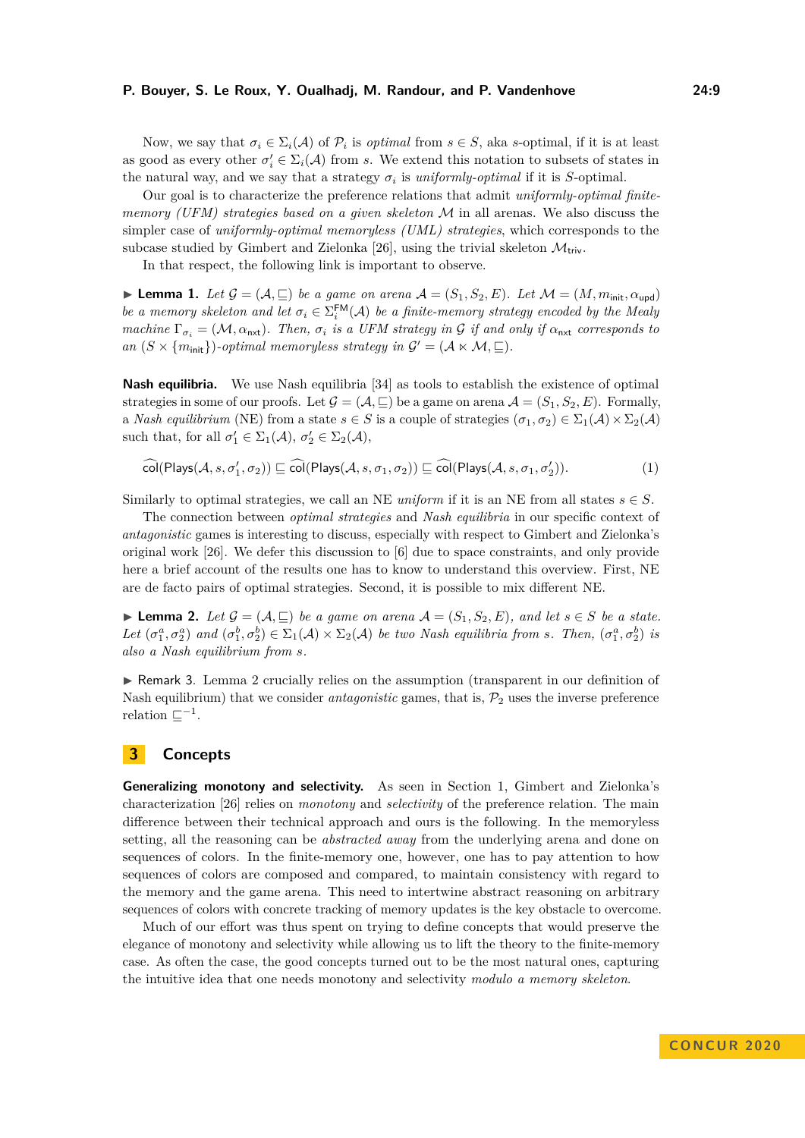Now, we say that  $\sigma_i \in \Sigma_i(\mathcal{A})$  of  $\mathcal{P}_i$  is *optimal* from  $s \in S$ , aka *s*-optimal, if it is at least as good as every other  $\sigma'_i \in \Sigma_i(\mathcal{A})$  from *s*. We extend this notation to subsets of states in the natural way, and we say that a strategy  $\sigma_i$  is *uniformly-optimal* if it is *S*-optimal.

Our goal is to characterize the preference relations that admit *uniformly-optimal finitememory (UFM) strategies based on a given skeleton* M in all arenas. We also discuss the simpler case of *uniformly-optimal memoryless (UML) strategies*, which corresponds to the subcase studied by Gimbert and Zielonka [\[26\]](#page-16-0), using the trivial skeleton  $\mathcal{M}_{\text{triv}}$ .

In that respect, the following link is important to observe.

<span id="page-8-1"></span>**I** Lemma 1. Let  $\mathcal{G} = (\mathcal{A}, \sqsubseteq)$  be a game on arena  $\mathcal{A} = (S_1, S_2, E)$ . Let  $\mathcal{M} = (M, m_{\text{init}}, \alpha_{\text{und}})$ *be a memory skeleton and let*  $\sigma_i \in \Sigma_i^{\text{FM}}(\mathcal{A})$  *be a finite-memory strategy encoded by the Mealy machine*  $\Gamma_{\sigma_i} = (\mathcal{M}, \alpha_{\text{nxt}})$ *. Then,*  $\sigma_i$  *is a UFM strategy in* G *if and only if*  $\alpha_{\text{nxt}}$  *corresponds to an*  $(S \times \{m_{\text{init}}\})$ -optimal memoryless strategy in  $\mathcal{G}' = (\mathcal{A} \times \mathcal{M}, \sqsubseteq)$ .

**Nash equilibria.** We use Nash equilibria [\[34\]](#page-17-7) as tools to establish the existence of optimal strategies in some of our proofs. Let  $\mathcal{G} = (\mathcal{A}, \sqsubseteq)$  be a game on arena  $\mathcal{A} = (S_1, S_2, E)$ . Formally, a *Nash equilibrium* (NE) from a state  $s \in S$  is a couple of strategies  $(\sigma_1, \sigma_2) \in \Sigma_1(\mathcal{A}) \times \Sigma_2(\mathcal{A})$ such that, for all  $\sigma'_1 \in \Sigma_1(\mathcal{A}), \sigma'_2 \in \Sigma_2(\mathcal{A}),$ 

<span id="page-8-3"></span> $\widehat{\text{col}}(\text{Plays}(\mathcal{A}, s, \sigma'_1, \sigma_2)) \sqsubseteq \widehat{\text{col}}(\text{Plays}(\mathcal{A}, s, \sigma_1, \sigma_2)) \sqsubseteq \widehat{\text{col}}(\text{Plays}(\mathcal{A}, s, \sigma_1, \sigma'_2))$ ))*.* (1)

Similarly to optimal strategies, we call an NE *uniform* if it is an NE from all states  $s \in S$ .

The connection between *optimal strategies* and *Nash equilibria* in our specific context of *antagonistic* games is interesting to discuss, especially with respect to Gimbert and Zielonka's original work [\[26\]](#page-16-0). We defer this discussion to [\[6\]](#page-15-10) due to space constraints, and only provide here a brief account of the results one has to know to understand this overview. First, NE are de facto pairs of optimal strategies. Second, it is possible to mix different NE.

<span id="page-8-2"></span>► **Lemma 2.** *Let*  $\mathcal{G} = (\mathcal{A}, \sqsubseteq)$  *be a game on arena*  $\mathcal{A} = (S_1, S_2, E)$ *, and let*  $s \in S$  *be a state.* Let  $(\sigma_1^a, \sigma_2^a)$  and  $(\sigma_1^b, \sigma_2^b) \in \Sigma_1(\mathcal{A}) \times \Sigma_2(\mathcal{A})$  be two Nash equilibria from s. Then,  $(\sigma_1^a, \sigma_2^b)$  is *also a Nash equilibrium from s.*

<span id="page-8-4"></span>► Remark 3. Lemma [2](#page-8-2) crucially relies on the assumption (transparent in our definition of Nash equilibrium) that we consider *antagonistic* games, that is,  $P_2$  uses the inverse preference relation  $\sqsubseteq^{-1}$ .

# <span id="page-8-0"></span>**3 Concepts**

**Generalizing monotony and selectivity.** As seen in Section [1,](#page-1-0) Gimbert and Zielonka's characterization [\[26\]](#page-16-0) relies on *monotony* and *selectivity* of the preference relation. The main difference between their technical approach and ours is the following. In the memoryless setting, all the reasoning can be *abstracted away* from the underlying arena and done on sequences of colors. In the finite-memory one, however, one has to pay attention to how sequences of colors are composed and compared, to maintain consistency with regard to the memory and the game arena. This need to intertwine abstract reasoning on arbitrary sequences of colors with concrete tracking of memory updates is the key obstacle to overcome.

Much of our effort was thus spent on trying to define concepts that would preserve the elegance of monotony and selectivity while allowing us to lift the theory to the finite-memory case. As often the case, the good concepts turned out to be the most natural ones, capturing the intuitive idea that one needs monotony and selectivity *modulo a memory skeleton*.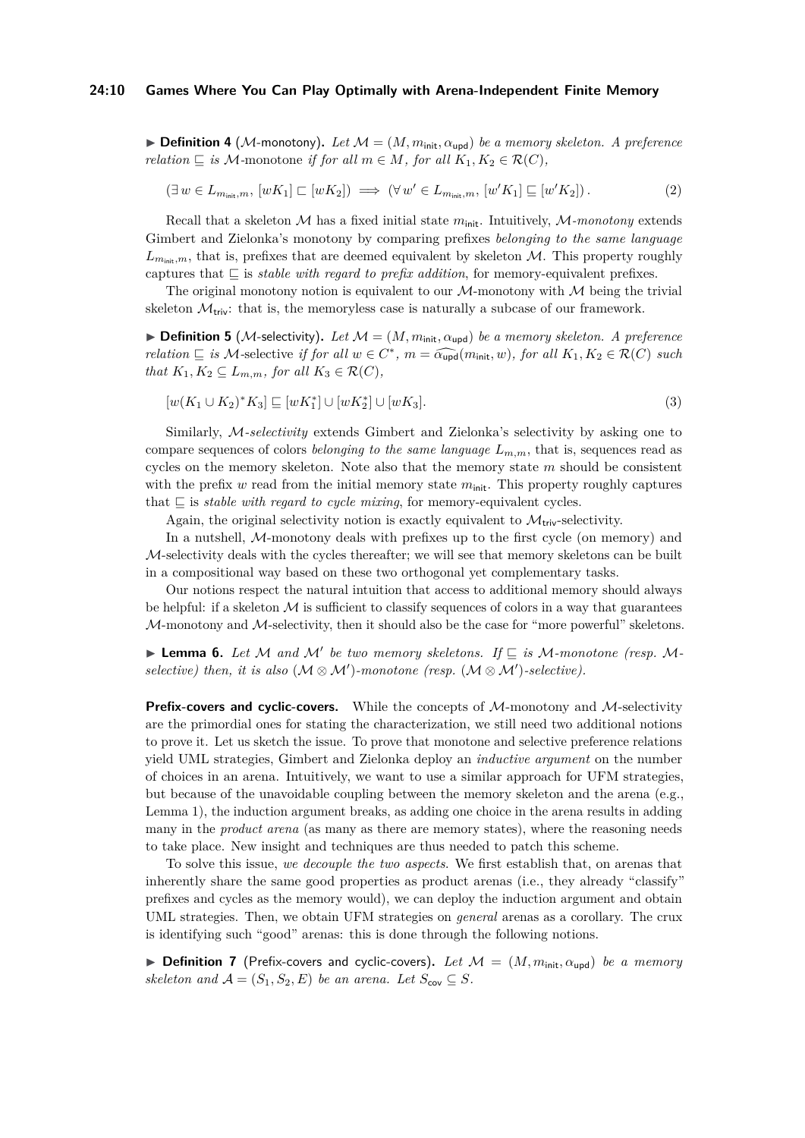$\blacktriangleright$  **Definition 4** (M-monotony). Let  $\mathcal{M} = (M, m_{init}, \alpha_{\text{und}})$  be a memory skeleton. A preference *relation*  $\subseteq$  *is* M-monotone *if for all*  $m \in M$ *, for all*  $K_1, K_2 \in \mathcal{R}(C)$ *,* 

<span id="page-9-0"></span>
$$
(\exists w \in L_{m_{\text{init}},m}, [wK_1] \sqsubset [wK_2]) \implies (\forall w' \in L_{m_{\text{init}},m}, [w'K_1] \sqsubseteq [w'K_2]). \tag{2}
$$

Recall that a skeleton  $M$  has a fixed initial state  $m_{\text{init}}$ . Intuitively,  $M$ -monotony extends Gimbert and Zielonka's monotony by comparing prefixes *belonging to the same language*  $L_{m_{\text{init}},m}$ , that is, prefixes that are deemed equivalent by skeleton  $M$ . This property roughly captures that  $\subseteq$  is *stable with regard to prefix addition*, for memory-equivalent prefixes.

The original monotony notion is equivalent to our  $M$ -monotony with  $M$  being the trivial skeleton  $\mathcal{M}_{\text{triv}}$ : that is, the memoryless case is naturally a subcase of our framework.

 $\triangleright$  **Definition 5** (*M*-selectivity). Let  $\mathcal{M} = (M, m_{\text{init}}, \alpha_{\text{upd}})$  be a memory skeleton. A preference *relation*  $\subseteq$  *is*  $M$ -selective *if for all*  $w \in C^*$ ,  $m = \widehat{\alpha_{\text{upd}}}(m_{\text{init}}, w)$ , *for all*  $K_1, K_2 \in \mathcal{R}(C)$  *such that*  $K_1, K_2 \subseteq L_{m,m}$ *, for all*  $K_3 \in \mathcal{R}(C)$ *,* 

<span id="page-9-1"></span>
$$
[w(K_1 \cup K_2)^* K_3] \sqsubseteq [wK_1^*] \cup [wK_2^*] \cup [wK_3]. \tag{3}
$$

Similarly, M*-selectivity* extends Gimbert and Zielonka's selectivity by asking one to compare sequences of colors *belonging to the same language Lm,m*, that is, sequences read as cycles on the memory skeleton. Note also that the memory state *m* should be consistent with the prefix  $w$  read from the initial memory state  $m_{init}$ . This property roughly captures that  $\subseteq$  is *stable with regard to cycle mixing*, for memory-equivalent cycles.

Again, the original selectivity notion is exactly equivalent to  $\mathcal{M}_{\text{triv}}$ -selectivity.

In a nutshell, M-monotony deals with prefixes up to the first cycle (on memory) and  $M$ -selectivity deals with the cycles thereafter; we will see that memory skeletons can be built in a compositional way based on these two orthogonal yet complementary tasks.

Our notions respect the natural intuition that access to additional memory should always be helpful: if a skeleton  $M$  is sufficient to classify sequences of colors in a way that guarantees  $M$ -monotony and  $M$ -selectivity, then it should also be the case for "more powerful" skeletons.

<span id="page-9-2"></span>**Example 1** Lemma 6. Let M and M' be two memory skeletons. If  $\subseteq$  is M-monotone (resp. M $selective)$  then, it is also ( $M \otimes M'$ )-monotone (resp. ( $M \otimes M'$ )-selective).

**Prefix-covers and cyclic-covers.** While the concepts of M-monotony and M-selectivity are the primordial ones for stating the characterization, we still need two additional notions to prove it. Let us sketch the issue. To prove that monotone and selective preference relations yield UML strategies, Gimbert and Zielonka deploy an *inductive argument* on the number of choices in an arena. Intuitively, we want to use a similar approach for UFM strategies, but because of the unavoidable coupling between the memory skeleton and the arena (e.g., Lemma [1\)](#page-8-1), the induction argument breaks, as adding one choice in the arena results in adding many in the *product arena* (as many as there are memory states), where the reasoning needs to take place. New insight and techniques are thus needed to patch this scheme.

To solve this issue, *we decouple the two aspects*. We first establish that, on arenas that inherently share the same good properties as product arenas (i.e., they already "classify" prefixes and cycles as the memory would), we can deploy the induction argument and obtain UML strategies. Then, we obtain UFM strategies on *general* arenas as a corollary. The crux is identifying such "good" arenas: this is done through the following notions.

**I Definition 7** (Prefix-covers and cyclic-covers). Let  $\mathcal{M} = (M, m_{init}, \alpha_{\text{uod}})$  be a memory *skeleton and*  $\mathcal{A} = (S_1, S_2, E)$  *be an arena. Let*  $S_{\text{cov}} \subseteq S$ *.*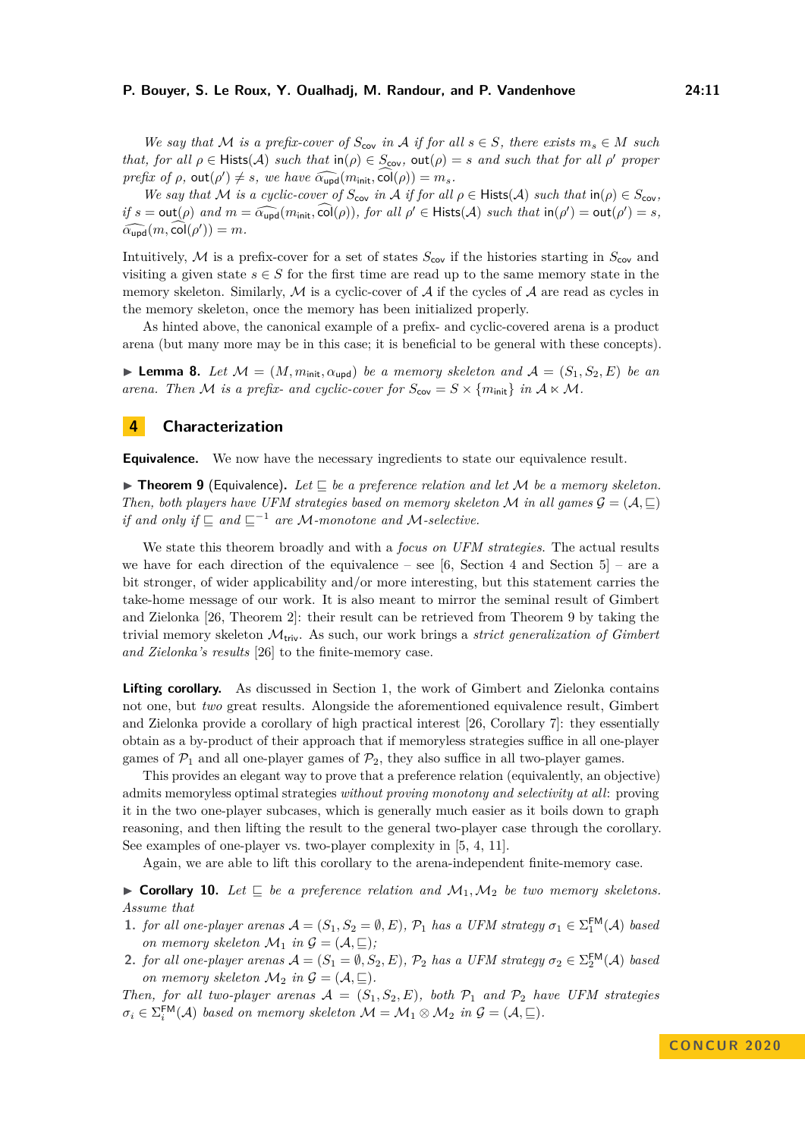*We say that*  $M$  *is a prefix-cover of*  $S_{cov}$  *in*  $A$  *if for all*  $s \in S$ *, there exists*  $m_s \in M$  *such that, for all*  $\rho \in \text{Hist}(A)$  *such that*  $\text{in}(\rho) \in S_{\text{cov}}$ ,  $\text{out}(\rho) = s$  *and such that for all*  $\rho'$  *proper prefix of*  $\rho$ ,  $\text{out}(\rho') \neq s$ , we have  $\widehat{\alpha_{\text{upd}}}(m_{\text{init}}, \widehat{\text{col}}(\rho)) = m_s$ .<br>We say that A4 is a system as  $\widehat{S}$ , in A if for all

*We say that* M *is a cyclic-cover of*  $S_{\text{cov}}$  *in* A *if for all*  $\rho \in \text{Hist}(A)$  *such that*  $\text{in}(\rho) \in S_{\text{cov}}$ *, if*  $s = \text{out}(\rho)$  *and*  $m = \widehat{\alpha_{\text{upd}}}(m_{\text{init}}, \widehat{\text{col}}(\rho))$ *, for all*  $\rho' \in \text{Hist}(\mathcal{A})$  *such that*  $\text{in}(\rho') = \text{out}(\rho') = s$ *,*  $\widehat{\alpha_{\text{upd}}}(m, \text{col}(\rho')) = m$ .

Intuitively, M is a prefix-cover for a set of states  $S_{\text{cov}}$  if the histories starting in  $S_{\text{cov}}$  and visiting a given state  $s \in S$  for the first time are read up to the same memory state in the memory skeleton. Similarly, M is a cyclic-cover of A if the cycles of A are read as cycles in the memory skeleton, once the memory has been initialized properly.

As hinted above, the canonical example of a prefix- and cyclic-covered arena is a product arena (but many more may be in this case; it is beneficial to be general with these concepts).

**I Lemma 8.** Let  $M = (M, m_{\text{init}}, \alpha_{\text{upd}})$  be a memory skeleton and  $A = (S_1, S_2, E)$  be an *arena. Then M is a prefix- and cyclic-cover for*  $S_{\text{cov}} = S \times \{m_{\text{init}}\}$  *in*  $A \times M$ *.* 

## <span id="page-10-0"></span>**4 Characterization**

<span id="page-10-1"></span>**Equivalence.** We now have the necessary ingredients to state our equivalence result.

**Find 1 E E E C** *C C <i>C be a preference relation and let M <i>be a memory skeleton. Then, both players have UFM strategies based on memory skeleton* M *in all games*  $\mathcal{G} = (\mathcal{A}, \sqsubseteq)$ *if and only if*  $\subseteq$  *and*  $\subseteq$ <sup>-1</sup> *are* M-monotone and M-selective.

We state this theorem broadly and with a *focus on UFM strategies*. The actual results we have for each direction of the equivalence – see [\[6,](#page-15-10) Section 4 and Section 5] – are a bit stronger, of wider applicability and/or more interesting, but this statement carries the take-home message of our work. It is also meant to mirror the seminal result of Gimbert and Zielonka [\[26,](#page-16-0) Theorem 2]: their result can be retrieved from Theorem [9](#page-10-1) by taking the trivial memory skeleton Mtriv. As such, our work brings a *strict generalization of Gimbert and Zielonka's results* [\[26\]](#page-16-0) to the finite-memory case.

**Lifting corollary.** As discussed in Section [1,](#page-1-0) the work of Gimbert and Zielonka contains not one, but *two* great results. Alongside the aforementioned equivalence result, Gimbert and Zielonka provide a corollary of high practical interest [\[26,](#page-16-0) Corollary 7]: they essentially obtain as a by-product of their approach that if memoryless strategies suffice in all one-player games of  $\mathcal{P}_1$  and all one-player games of  $\mathcal{P}_2$ , they also suffice in all two-player games.

This provides an elegant way to prove that a preference relation (equivalently, an objective) admits memoryless optimal strategies *without proving monotony and selectivity at all*: proving it in the two one-player subcases, which is generally much easier as it boils down to graph reasoning, and then lifting the result to the general two-player case through the corollary. See examples of one-player vs. two-player complexity in [\[5,](#page-15-4) [4,](#page-15-3) [11\]](#page-15-5).

Again, we are able to lift this corollary to the arena-independent finite-memory case.

<span id="page-10-2"></span> $\triangleright$  **Corollary 10.** Let  $\sqsubseteq$  *be a preference relation and*  $M_1, M_2$  *be two memory skeletons. Assume that*

- **1.** *for all one-player arenas*  $A = (S_1, S_2 = \emptyset, E), P_1$  *has a UFM strategy*  $\sigma_1 \in \Sigma_1^{\text{FM}}(A)$  *based on memory skeleton*  $\mathcal{M}_1$  *in*  $\mathcal{G} = (\mathcal{A}, \sqsubseteq)$ *;*
- **2.** *for all one-player arenas*  $\mathcal{A} = (S_1 = \emptyset, S_2, E), \mathcal{P}_2$  *has a UFM strategy*  $\sigma_2 \in \Sigma_2^{\text{FM}}(\mathcal{A})$  *based on memory skeleton*  $\mathcal{M}_2$  *in*  $\mathcal{G} = (\mathcal{A}, \sqsubseteq).$

*Then, for all two-player arenas*  $A = (S_1, S_2, E)$ *, both*  $\mathcal{P}_1$  *and*  $\mathcal{P}_2$  *have UFM strategies*  $\sigma_i \in \Sigma_i^{\text{FM}}(\mathcal{A})$  *based on memory skeleton*  $\mathcal{M} = \mathcal{M}_1 \otimes \mathcal{M}_2$  *in*  $\mathcal{G} = (\mathcal{A}, \sqsubseteq).$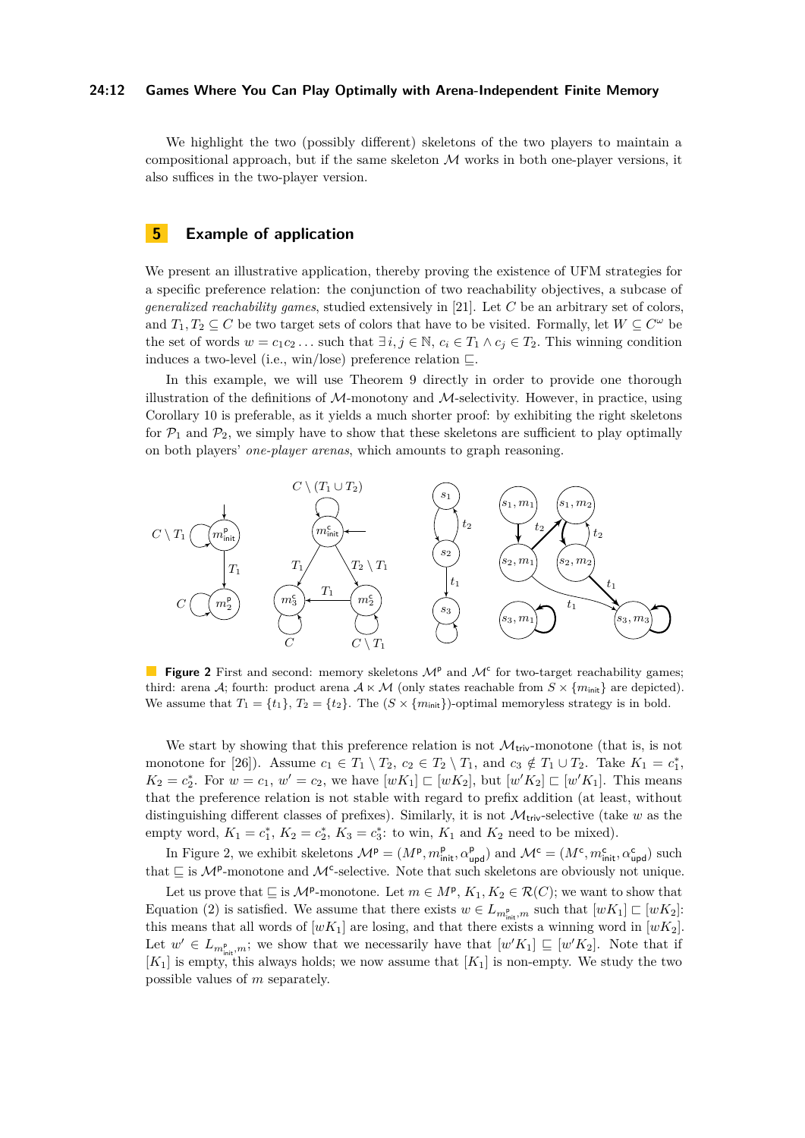## **24:12 Games Where You Can Play Optimally with Arena-Independent Finite Memory**

We highlight the two (possibly different) skeletons of the two players to maintain a compositional approach, but if the same skeleton  $\mathcal M$  works in both one-player versions, it also suffices in the two-player version.

## <span id="page-11-0"></span>**5 Example of application**

We present an illustrative application, thereby proving the existence of UFM strategies for a specific preference relation: the conjunction of two reachability objectives, a subcase of *generalized reachability games*, studied extensively in [\[21\]](#page-16-8). Let *C* be an arbitrary set of colors, and  $T_1, T_2 \subseteq C$  be two target sets of colors that have to be visited. Formally, let  $W \subseteq C^{\omega}$  be the set of words  $w = c_1 c_2 \dots$  such that  $\exists i, j \in \mathbb{N}, c_i \in T_1 \land c_j \in T_2$ . This winning condition induces a two-level (i.e., win/lose) preference relation  $\sqsubseteq$ .

In this example, we will use Theorem [9](#page-10-1) directly in order to provide one thorough illustration of the definitions of  $M$ -monotony and  $M$ -selectivity. However, in practice, using Corollary [10](#page-10-2) is preferable, as it yields a much shorter proof: by exhibiting the right skeletons for  $\mathcal{P}_1$  and  $\mathcal{P}_2$ , we simply have to show that these skeletons are sufficient to play optimally on both players' *one-player arenas*, which amounts to graph reasoning.

<span id="page-11-1"></span>

**Figure 2** First and second: memory skeletons  $\mathcal{M}^{\text{p}}$  and  $\mathcal{M}^{\text{c}}$  for two-target reachability games; third: arena A; fourth: product arena  $A \times M$  (only states reachable from  $S \times \{m_{\text{init}}\}$  are depicted). We assume that  $T_1 = \{t_1\}$ ,  $T_2 = \{t_2\}$ . The  $(S \times \{m_{\text{init}}\})$ -optimal memoryless strategy is in bold.

We start by showing that this preference relation is not  $\mathcal{M}_{triv}$ -monotone (that is, is not monotone for [\[26\]](#page-16-0)). Assume  $c_1 \in T_1 \setminus T_2$ ,  $c_2 \in T_2 \setminus T_1$ , and  $c_3 \notin T_1 \cup T_2$ . Take  $K_1 = c_1^*$ ,  $K_2 = c_2^*$ . For  $w = c_1, w' = c_2$ , we have  $[wK_1] \sqsubset [wK_2]$ , but  $[w'K_2] \sqsubset [w'K_1]$ . This means that the preference relation is not stable with regard to prefix addition (at least, without distinguishing different classes of prefixes). Similarly, it is not  $\mathcal{M}_{\text{triv}}$ -selective (take *w* as the empty word,  $K_1 = c_1^*, K_2 = c_2^*, K_3 = c_3^*$ : to win,  $K_1$  and  $K_2$  need to be mixed).

In Figure [2,](#page-11-1) we exhibit skeletons  $\mathcal{M}^{\mathsf{p}} = (M^{\mathsf{p}}, m_{\text{init}}^{\mathsf{p}}, \alpha_{\text{upd}}^{\mathsf{p}})$  and  $\mathcal{M}^{\mathsf{c}} = (M^{\mathsf{c}}, m_{\text{init}}^{\mathsf{c}}, \alpha_{\text{upd}}^{\mathsf{c}})$  such that  $\subseteq$  is  $\mathcal{M}^{\mathsf{p}}$ -monotone and  $\mathcal{M}^{\mathsf{c}}$ -selective. Note that such skeletons are obviously not unique.

Let us prove that  $\subseteq$  is  $\mathcal{M}^p$ -monotone. Let  $m \in M^p$ ,  $K_1, K_2 \in \mathcal{R}(C)$ ; we want to show that Equation [\(2\)](#page-9-0) is satisfied. We assume that there exists  $w \in L_{m_{\text{init}}^{\text{p}},m}$  such that  $[wK_1] \sqsubset [wK_2]$ : this means that all words of  $[wK_1]$  are losing, and that there exists a winning word in  $[wK_2]$ . Let  $w' \in L_{m_{\text{init}}^{\text{p}},m}$ ; we show that we necessarily have that  $[w'K_1] \sqsubseteq [w'K_2]$ . Note that if  $[K_1]$  is empty, this always holds; we now assume that  $[K_1]$  is non-empty. We study the two possible values of *m* separately.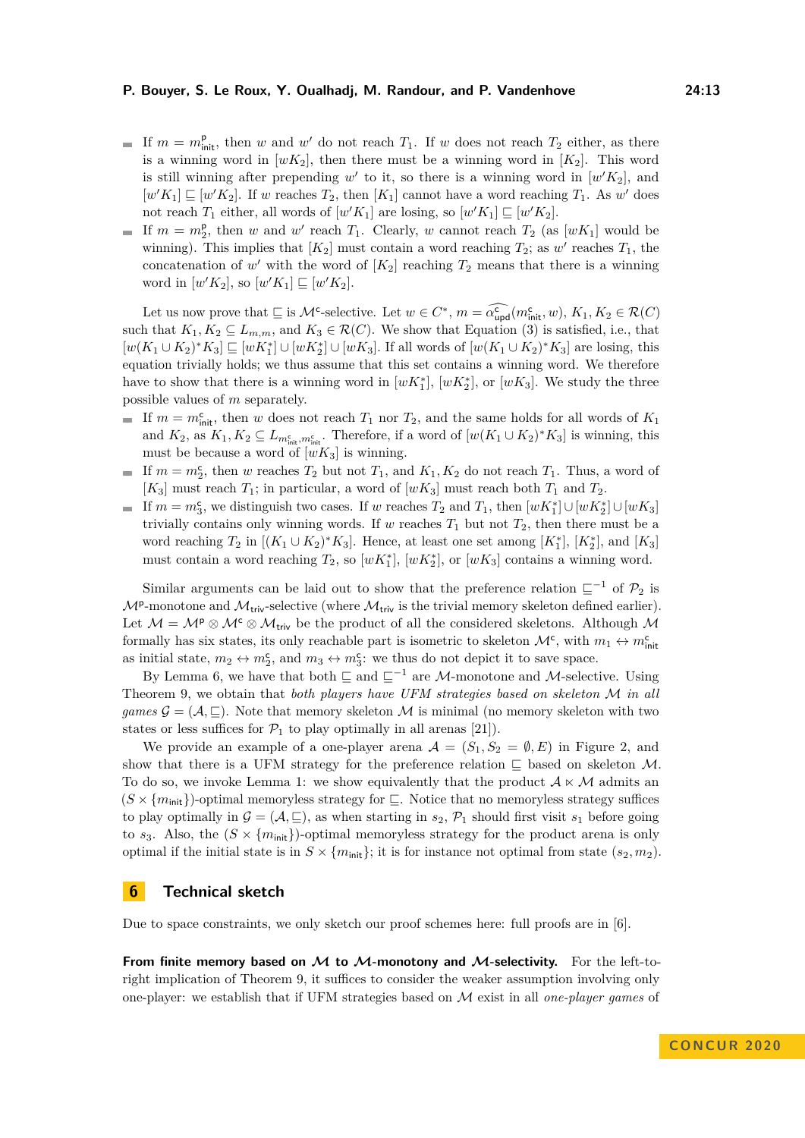- If  $m = m_{\text{init}}^{\text{p}}$ , then *w* and *w*<sup>'</sup> do not reach  $T_1$ . If *w* does not reach  $T_2$  either, as there is a winning word in  $[wK_2]$ , then there must be a winning word in  $[K_2]$ . This word is still winning after prepending  $w'$  to it, so there is a winning word in  $[w'K_2]$ , and  $[w'K_1] \sqsubseteq [w'K_2]$ . If *w* reaches  $T_2$ , then  $[K_1]$  cannot have a word reaching  $T_1$ . As *w*<sup>'</sup> does not reach  $T_1$  either, all words of  $[w'K_1]$  are losing, so  $[w'K_1] \sqsubseteq [w'K_2]$ .
- If  $m = m_2^p$ , then *w* and *w*<sup>'</sup> reach  $T_1$ . Clearly, *w* cannot reach  $T_2$  (as  $[wK_1]$  would be winning). This implies that  $[K_2]$  must contain a word reaching  $T_2$ ; as  $w'$  reaches  $T_1$ , the concatenation of  $w'$  with the word of  $[K_2]$  reaching  $T_2$  means that there is a winning word in  $[w'K_2]$ , so  $[w'K_1] \sqsubseteq [w'K_2]$ .

Let us now prove that  $\subseteq$  is  $\mathcal{M}^c$ -selective. Let  $w \in C^*$ ,  $m = \widehat{\alpha}_{\text{upd}}^c(m_{\text{init}}^c, w)$ ,  $K_1, K_2 \in \mathcal{R}(C)$ such that  $K_1, K_2 \subseteq L_{m,m}$ , and  $K_3 \in \mathcal{R}(C)$ . We show that Equation [\(3\)](#page-9-1) is satisfied, i.e., that  $[w(K_1 \cup K_2)^*K_3] \sqsubseteq [wK_1^*] \cup [wK_2^*] \cup [wK_3]$ . If all words of  $[w(K_1 \cup K_2)^*K_3]$  are losing, this equation trivially holds; we thus assume that this set contains a winning word. We therefore have to show that there is a winning word in  $[wK_1^*]$ ,  $[wK_2^*]$ , or  $[wK_3]$ . We study the three possible values of *m* separately.

- If  $m = m<sub>init</sub><sup>c</sup>$ , then *w* does not reach  $T_1$  nor  $T_2$ , and the same holds for all words of  $K_1$ and  $K_2$ , as  $K_1, K_2 \subseteq L_{m_{\text{init}}^c, m_{\text{init}}^c}$ . Therefore, if a word of  $[w(K_1 \cup K_2)^*K_3]$  is winning, this must be because a word of  $[wK_3]$  is winning.
- If  $m = m_2^c$ , then *w* reaches  $T_2$  but not  $T_1$ , and  $K_1, K_2$  do not reach  $T_1$ . Thus, a word of  $[K_3]$  must reach  $T_1$ ; in particular, a word of  $[wK_3]$  must reach both  $T_1$  and  $T_2$ .
- If  $m = m_3^c$ , we distinguish two cases. If *w* reaches  $T_2$  and  $T_1$ , then  $[wK_1^*] \cup [wK_2^*] \cup [wK_3]$ trivially contains only winning words. If  $w$  reaches  $T_1$  but not  $T_2$ , then there must be a word reaching  $T_2$  in  $[(K_1 \cup K_2)^* K_3]$ . Hence, at least one set among  $[K_1^*]$ ,  $[K_2^*]$ , and  $[K_3]$ must contain a word reaching  $T_2$ , so  $[wK_1^*]$ ,  $[wK_2^*]$ , or  $[wK_3]$  contains a winning word.

Similar arguments can be laid out to show that the preference relation  $\subseteq^{-1}$  of  $\mathcal{P}_2$  is  $\mathcal{M}^{\mathsf{p}}$ -monotone and  $\mathcal{M}_{\mathsf{triv}}$ -selective (where  $\mathcal{M}_{\mathsf{triv}}$  is the trivial memory skeleton defined earlier). Let  $\mathcal{M} = \mathcal{M}^{\rho} \otimes \mathcal{M}^{\rho} \otimes \mathcal{M}_{triv}$  be the product of all the considered skeletons. Although  $\mathcal{M}$ formally has six states, its only reachable part is isometric to skeleton  $\mathcal{M}^c$ , with  $m_1 \leftrightarrow m_{\text{init}}^c$ as initial state,  $m_2 \leftrightarrow m_2^c$ , and  $m_3 \leftrightarrow m_3^c$ : we thus do not depict it to save space.

By Lemma [6,](#page-9-2) we have that both  $\sqsubseteq$  and  $\sqsubseteq^{-1}$  are M-monotone and M-selective. Using Theorem [9,](#page-10-1) we obtain that *both players have UFM strategies based on skeleton* M *in all games*  $\mathcal{G} = (\mathcal{A}, \subseteq)$ . Note that memory skeleton M is minimal (no memory skeleton with two states or less suffices for  $\mathcal{P}_1$  to play optimally in all arenas [\[21\]](#page-16-8)).

We provide an example of a one-player arena  $\mathcal{A} = (S_1, S_2 = \emptyset, E)$  in Figure [2,](#page-11-1) and show that there is a UFM strategy for the preference relation  $\subseteq$  based on skeleton  $\mathcal{M}$ . To do so, we invoke Lemma [1:](#page-8-1) we show equivalently that the product  $A \ltimes M$  admits an  $(S \times \{m_{\text{init}}\})$ -optimal memoryless strategy for  $\subseteq$ . Notice that no memoryless strategy suffices to play optimally in  $\mathcal{G} = (\mathcal{A}, \subseteq)$ , as when starting in  $s_2$ ,  $\mathcal{P}_1$  should first visit  $s_1$  before going to  $s_3$ . Also, the  $(S \times \{m_{\text{init}}\})$ -optimal memoryless strategy for the product arena is only optimal if the initial state is in  $S \times \{m_{\text{init}}\}$ ; it is for instance not optimal from state  $(s_2, m_2)$ .

## <span id="page-12-0"></span>**6 Technical sketch**

Due to space constraints, we only sketch our proof schemes here: full proofs are in [\[6\]](#page-15-10).

**From finite memory based on M to M-monotony and M-selectivity.** For the left-toright implication of Theorem [9,](#page-10-1) it suffices to consider the weaker assumption involving only one-player: we establish that if UFM strategies based on M exist in all *one-player games* of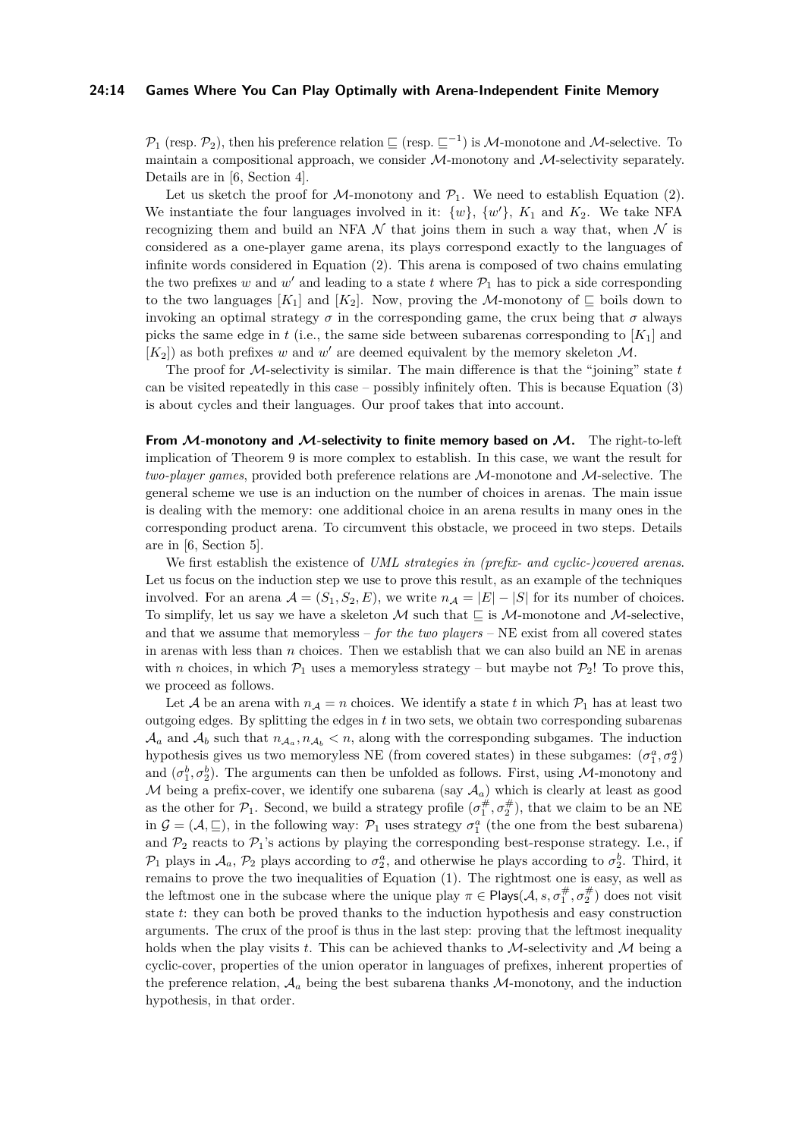## **24:14 Games Where You Can Play Optimally with Arena-Independent Finite Memory**

 $\mathcal{P}_1$  (resp.  $\mathcal{P}_2$ ), then his preference relation  $\sqsubseteq$  (resp.  $\sqsubseteq^{-1}$ ) is M-monotone and M-selective. To maintain a compositional approach, we consider  $M$ -monotony and  $M$ -selectivity separately. Details are in [\[6,](#page-15-10) Section 4].

Let us sketch the proof for M-monotony and  $\mathcal{P}_1$ . We need to establish Equation [\(2\)](#page-9-0). We instantiate the four languages involved in it:  $\{w\}$ ,  $\{w'\}$ ,  $K_1$  and  $K_2$ . We take NFA recognizing them and build an NFA  $\mathcal N$  that joins them in such a way that, when  $\mathcal N$  is considered as a one-player game arena, its plays correspond exactly to the languages of infinite words considered in Equation [\(2\)](#page-9-0). This arena is composed of two chains emulating the two prefixes *w* and *w'* and leading to a state *t* where  $\mathcal{P}_1$  has to pick a side corresponding to the two languages  $[K_1]$  and  $[K_2]$ . Now, proving the M-monotony of  $\Box$  boils down to invoking an optimal strategy  $\sigma$  in the corresponding game, the crux being that  $\sigma$  always picks the same edge in  $t$  (i.e., the same side between subarenas corresponding to  $[K_1]$  and  $[K_2]$ ) as both prefixes *w* and *w'* are deemed equivalent by the memory skeleton  $M$ .

The proof for M-selectivity is similar. The main difference is that the "joining" state *t* can be visited repeatedly in this case – possibly infinitely often. This is because Equation [\(3\)](#page-9-1) is about cycles and their languages. Our proof takes that into account.

**From M-monotony and M-selectivity to finite memory based on M.** The right-to-left implication of Theorem [9](#page-10-1) is more complex to establish. In this case, we want the result for *two-player games*, provided both preference relations are M-monotone and M-selective. The general scheme we use is an induction on the number of choices in arenas. The main issue is dealing with the memory: one additional choice in an arena results in many ones in the corresponding product arena. To circumvent this obstacle, we proceed in two steps. Details are in [\[6,](#page-15-10) Section 5].

We first establish the existence of *UML strategies in (prefix- and cyclic-)covered arenas*. Let us focus on the induction step we use to prove this result, as an example of the techniques involved. For an arena  $A = (S_1, S_2, E)$ , we write  $n_A = |E| - |S|$  for its number of choices. To simplify, let us say we have a skeleton M such that  $\subseteq$  is M-monotone and M-selective, and that we assume that memoryless – *for the two players* – NE exist from all covered states in arenas with less than *n* choices. Then we establish that we can also build an NE in arenas with *n* choices, in which  $\mathcal{P}_1$  uses a memoryless strategy – but maybe not  $\mathcal{P}_2!$ ! To prove this, we proceed as follows.

Let A be an arena with  $n_A = n$  choices. We identify a state t in which  $P_1$  has at least two outgoing edges. By splitting the edges in *t* in two sets, we obtain two corresponding subarenas  $A_a$  and  $A_b$  such that  $n_{A_a}, n_{A_b} < n$ , along with the corresponding subgames. The induction hypothesis gives us two memoryless NE (from covered states) in these subgames:  $(\sigma_1^a, \sigma_2^a)$ and  $(\sigma_1^b, \sigma_2^b)$ . The arguments can then be unfolded as follows. First, using *M*-monotony and M being a prefix-cover, we identify one subarena (say  $A_a$ ) which is clearly at least as good as the other for  $\mathcal{P}_1$ . Second, we build a strategy profile  $(\sigma_1^\#, \sigma_2^\#)$ , that we claim to be an NE in  $G = (A, \subseteq)$ , in the following way:  $\mathcal{P}_1$  uses strategy  $\sigma_1^a$  (the one from the best subarena) and  $\mathcal{P}_2$  reacts to  $\mathcal{P}_1$ 's actions by playing the corresponding best-response strategy. I.e., if  $\mathcal{P}_1$  plays in  $\mathcal{A}_a$ ,  $\mathcal{P}_2$  plays according to  $\sigma_2^a$ , and otherwise he plays according to  $\sigma_2^b$ . Third, it remains to prove the two inequalities of Equation [\(1\)](#page-8-3). The rightmost one is easy, as well as the leftmost one in the subcase where the unique play  $\pi \in \text{Plays}(\mathcal{A}, s, \sigma_1^{\#}, \sigma_2^{\#})$  does not visit state *t*: they can both be proved thanks to the induction hypothesis and easy construction arguments. The crux of the proof is thus in the last step: proving that the leftmost inequality holds when the play visits  $t$ . This can be achieved thanks to  $M$ -selectivity and  $M$  being a cyclic-cover, properties of the union operator in languages of prefixes, inherent properties of the preference relation,  $A_a$  being the best subarena thanks  $M$ -monotony, and the induction hypothesis, in that order.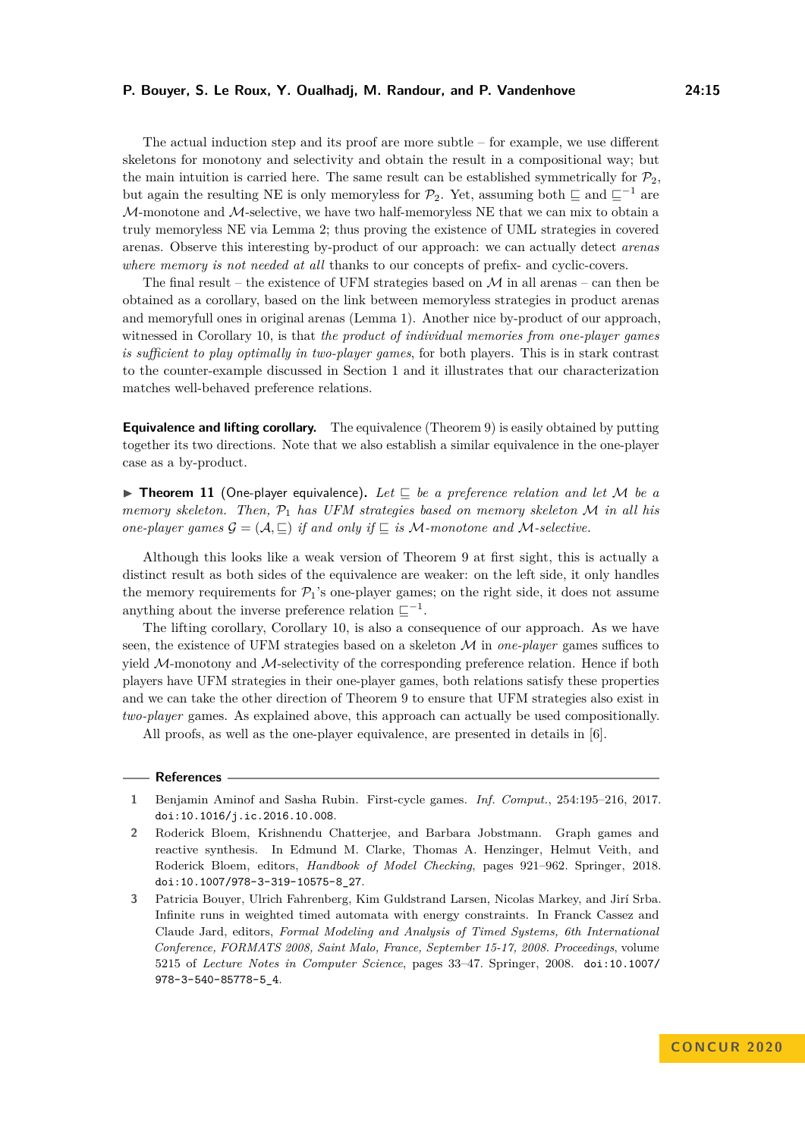The actual induction step and its proof are more subtle – for example, we use different skeletons for monotony and selectivity and obtain the result in a compositional way; but the main intuition is carried here. The same result can be established symmetrically for  $\mathcal{P}_2$ , but again the resulting NE is only memoryless for  $\mathcal{P}_2$ . Yet, assuming both  $\subseteq$  and  $\subseteq^{-1}$  are  $M$ -monotone and  $M$ -selective, we have two half-memoryless NE that we can mix to obtain a truly memoryless NE via Lemma [2;](#page-8-2) thus proving the existence of UML strategies in covered arenas. Observe this interesting by-product of our approach: we can actually detect *arenas where memory is not needed at all* thanks to our concepts of prefix- and cyclic-covers.

The final result – the existence of UFM strategies based on  $\mathcal M$  in all arenas – can then be obtained as a corollary, based on the link between memoryless strategies in product arenas and memoryfull ones in original arenas (Lemma [1\)](#page-8-1). Another nice by-product of our approach, witnessed in Corollary [10,](#page-10-2) is that *the product of individual memories from one-player games is sufficient to play optimally in two-player games*, for both players. This is in stark contrast to the counter-example discussed in Section [1](#page-1-0) and it illustrates that our characterization matches well-behaved preference relations.

**Equivalence and lifting corollary.** The equivalence (Theorem [9\)](#page-10-1) is easily obtained by putting together its two directions. Note that we also establish a similar equivalence in the one-player case as a by-product.

<span id="page-14-3"></span>**Findamerical 11** (One-player equivalence). Let  $\Box$  be a preference relation and let M be a *memory skeleton. Then,* P<sup>1</sup> *has UFM strategies based on memory skeleton* M *in all his one-player games*  $\mathcal{G} = (\mathcal{A}, \sqsubseteq)$  *if and only if*  $\sqsubseteq$  *is* M-monotone and M-selective.

Although this looks like a weak version of Theorem [9](#page-10-1) at first sight, this is actually a distinct result as both sides of the equivalence are weaker: on the left side, it only handles the memory requirements for  $\mathcal{P}_1$ 's one-player games; on the right side, it does not assume anything about the inverse preference relation  $\sqsubseteq^{-1}$ .

The lifting corollary, Corollary [10,](#page-10-2) is also a consequence of our approach. As we have seen, the existence of UFM strategies based on a skeleton M in *one-player* games suffices to yield M-monotony and M-selectivity of the corresponding preference relation. Hence if both players have UFM strategies in their one-player games, both relations satisfy these properties and we can take the other direction of Theorem [9](#page-10-1) to ensure that UFM strategies also exist in *two-player* games. As explained above, this approach can actually be used compositionally.

All proofs, as well as the one-player equivalence, are presented in details in [\[6\]](#page-15-10).

#### **References**

<span id="page-14-1"></span>**<sup>1</sup>** Benjamin Aminof and Sasha Rubin. First-cycle games. *Inf. Comput.*, 254:195–216, 2017. [doi:10.1016/j.ic.2016.10.008](https://doi.org/10.1016/j.ic.2016.10.008).

<span id="page-14-0"></span>**<sup>2</sup>** Roderick Bloem, Krishnendu Chatterjee, and Barbara Jobstmann. Graph games and reactive synthesis. In Edmund M. Clarke, Thomas A. Henzinger, Helmut Veith, and Roderick Bloem, editors, *Handbook of Model Checking*, pages 921–962. Springer, 2018. [doi:10.1007/978-3-319-10575-8\\_27](https://doi.org/10.1007/978-3-319-10575-8_27).

<span id="page-14-2"></span>**<sup>3</sup>** Patricia Bouyer, Ulrich Fahrenberg, Kim Guldstrand Larsen, Nicolas Markey, and Jirí Srba. Infinite runs in weighted timed automata with energy constraints. In Franck Cassez and Claude Jard, editors, *Formal Modeling and Analysis of Timed Systems, 6th International Conference, FORMATS 2008, Saint Malo, France, September 15-17, 2008. Proceedings*, volume 5215 of *Lecture Notes in Computer Science*, pages 33–47. Springer, 2008. [doi:10.1007/](https://doi.org/10.1007/978-3-540-85778-5_4) [978-3-540-85778-5\\_4](https://doi.org/10.1007/978-3-540-85778-5_4).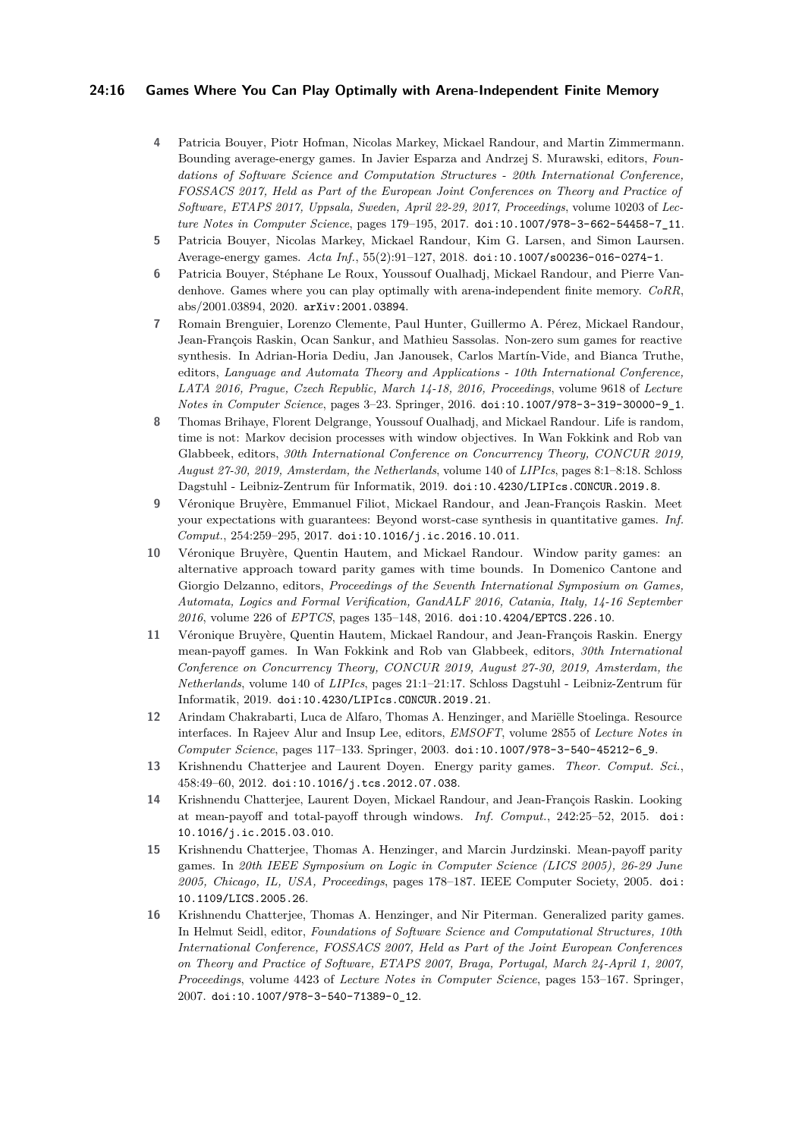## **24:16 Games Where You Can Play Optimally with Arena-Independent Finite Memory**

- <span id="page-15-3"></span>**4** Patricia Bouyer, Piotr Hofman, Nicolas Markey, Mickael Randour, and Martin Zimmermann. Bounding average-energy games. In Javier Esparza and Andrzej S. Murawski, editors, *Foundations of Software Science and Computation Structures - 20th International Conference, FOSSACS 2017, Held as Part of the European Joint Conferences on Theory and Practice of Software, ETAPS 2017, Uppsala, Sweden, April 22-29, 2017, Proceedings*, volume 10203 of *Lecture Notes in Computer Science*, pages 179–195, 2017. [doi:10.1007/978-3-662-54458-7\\_11](https://doi.org/10.1007/978-3-662-54458-7_11).
- <span id="page-15-4"></span>**5** Patricia Bouyer, Nicolas Markey, Mickael Randour, Kim G. Larsen, and Simon Laursen. Average-energy games. *Acta Inf.*, 55(2):91–127, 2018. [doi:10.1007/s00236-016-0274-1](https://doi.org/10.1007/s00236-016-0274-1).
- <span id="page-15-10"></span>**6** Patricia Bouyer, Stéphane Le Roux, Youssouf Oualhadj, Mickael Randour, and Pierre Vandenhove. Games where you can play optimally with arena-independent finite memory. *CoRR*, abs/2001.03894, 2020. [arXiv:2001.03894](http://arxiv.org/abs/2001.03894).
- <span id="page-15-0"></span>**7** Romain Brenguier, Lorenzo Clemente, Paul Hunter, Guillermo A. Pérez, Mickael Randour, Jean-François Raskin, Ocan Sankur, and Mathieu Sassolas. Non-zero sum games for reactive synthesis. In Adrian-Horia Dediu, Jan Janousek, Carlos Martín-Vide, and Bianca Truthe, editors, *Language and Automata Theory and Applications - 10th International Conference, LATA 2016, Prague, Czech Republic, March 14-18, 2016, Proceedings*, volume 9618 of *Lecture Notes in Computer Science*, pages 3–23. Springer, 2016. [doi:10.1007/978-3-319-30000-9\\_1](https://doi.org/10.1007/978-3-319-30000-9_1).
- <span id="page-15-9"></span>**8** Thomas Brihaye, Florent Delgrange, Youssouf Oualhadj, and Mickael Randour. Life is random, time is not: Markov decision processes with window objectives. In Wan Fokkink and Rob van Glabbeek, editors, *30th International Conference on Concurrency Theory, CONCUR 2019, August 27-30, 2019, Amsterdam, the Netherlands*, volume 140 of *LIPIcs*, pages 8:1–8:18. Schloss Dagstuhl - Leibniz-Zentrum für Informatik, 2019. [doi:10.4230/LIPIcs.CONCUR.2019.8](https://doi.org/10.4230/LIPIcs.CONCUR.2019.8).
- <span id="page-15-12"></span>**9** Véronique Bruyère, Emmanuel Filiot, Mickael Randour, and Jean-François Raskin. Meet your expectations with guarantees: Beyond worst-case synthesis in quantitative games. *Inf. Comput.*, 254:259–295, 2017. [doi:10.1016/j.ic.2016.10.011](https://doi.org/10.1016/j.ic.2016.10.011).
- <span id="page-15-2"></span>**10** Véronique Bruyère, Quentin Hautem, and Mickael Randour. Window parity games: an alternative approach toward parity games with time bounds. In Domenico Cantone and Giorgio Delzanno, editors, *Proceedings of the Seventh International Symposium on Games, Automata, Logics and Formal Verification, GandALF 2016, Catania, Italy, 14-16 September 2016*, volume 226 of *EPTCS*, pages 135–148, 2016. [doi:10.4204/EPTCS.226.10](https://doi.org/10.4204/EPTCS.226.10).
- <span id="page-15-5"></span>**11** Véronique Bruyère, Quentin Hautem, Mickael Randour, and Jean-François Raskin. Energy mean-payoff games. In Wan Fokkink and Rob van Glabbeek, editors, *30th International Conference on Concurrency Theory, CONCUR 2019, August 27-30, 2019, Amsterdam, the Netherlands*, volume 140 of *LIPIcs*, pages 21:1–21:17. Schloss Dagstuhl - Leibniz-Zentrum für Informatik, 2019. [doi:10.4230/LIPIcs.CONCUR.2019.21](https://doi.org/10.4230/LIPIcs.CONCUR.2019.21).
- <span id="page-15-6"></span>**12** Arindam Chakrabarti, Luca de Alfaro, Thomas A. Henzinger, and Mariëlle Stoelinga. Resource interfaces. In Rajeev Alur and Insup Lee, editors, *EMSOFT*, volume 2855 of *Lecture Notes in Computer Science*, pages 117–133. Springer, 2003. [doi:10.1007/978-3-540-45212-6\\_9](https://doi.org/10.1007/978-3-540-45212-6_9).
- <span id="page-15-8"></span>**13** Krishnendu Chatterjee and Laurent Doyen. Energy parity games. *Theor. Comput. Sci.*, 458:49–60, 2012. [doi:10.1016/j.tcs.2012.07.038](https://doi.org/10.1016/j.tcs.2012.07.038).
- <span id="page-15-1"></span>**14** Krishnendu Chatterjee, Laurent Doyen, Mickael Randour, and Jean-François Raskin. Looking at mean-payoff and total-payoff through windows. *Inf. Comput.*, 242:25–52, 2015. [doi:](https://doi.org/10.1016/j.ic.2015.03.010) [10.1016/j.ic.2015.03.010](https://doi.org/10.1016/j.ic.2015.03.010).
- <span id="page-15-11"></span>**15** Krishnendu Chatterjee, Thomas A. Henzinger, and Marcin Jurdzinski. Mean-payoff parity games. In *20th IEEE Symposium on Logic in Computer Science (LICS 2005), 26-29 June 2005, Chicago, IL, USA, Proceedings*, pages 178–187. IEEE Computer Society, 2005. [doi:](https://doi.org/10.1109/LICS.2005.26) [10.1109/LICS.2005.26](https://doi.org/10.1109/LICS.2005.26).
- <span id="page-15-7"></span>**16** Krishnendu Chatterjee, Thomas A. Henzinger, and Nir Piterman. Generalized parity games. In Helmut Seidl, editor, *Foundations of Software Science and Computational Structures, 10th International Conference, FOSSACS 2007, Held as Part of the Joint European Conferences on Theory and Practice of Software, ETAPS 2007, Braga, Portugal, March 24-April 1, 2007, Proceedings*, volume 4423 of *Lecture Notes in Computer Science*, pages 153–167. Springer, 2007. [doi:10.1007/978-3-540-71389-0\\_12](https://doi.org/10.1007/978-3-540-71389-0_12).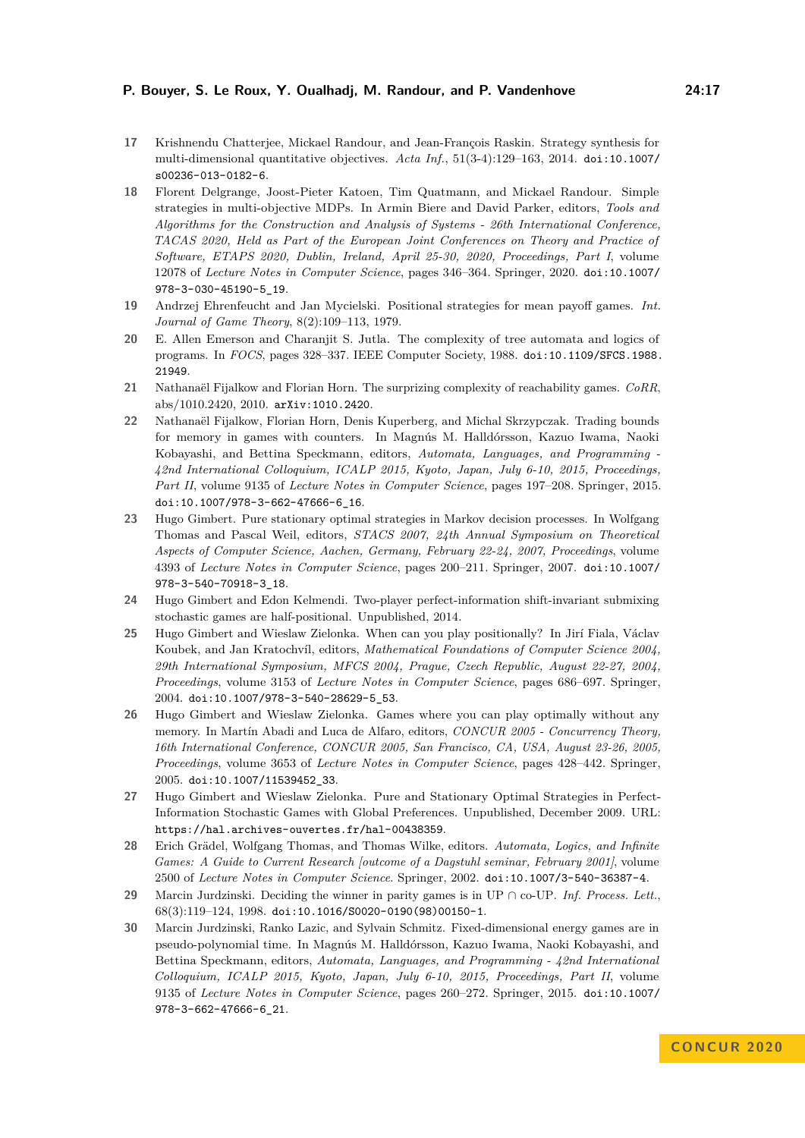- <span id="page-16-2"></span>**17** Krishnendu Chatterjee, Mickael Randour, and Jean-François Raskin. Strategy synthesis for multi-dimensional quantitative objectives. *Acta Inf.*, 51(3-4):129–163, 2014. [doi:10.1007/](https://doi.org/10.1007/s00236-013-0182-6) [s00236-013-0182-6](https://doi.org/10.1007/s00236-013-0182-6).
- <span id="page-16-10"></span>**18** Florent Delgrange, Joost-Pieter Katoen, Tim Quatmann, and Mickael Randour. Simple strategies in multi-objective MDPs. In Armin Biere and David Parker, editors, *Tools and Algorithms for the Construction and Analysis of Systems - 26th International Conference, TACAS 2020, Held as Part of the European Joint Conferences on Theory and Practice of Software, ETAPS 2020, Dublin, Ireland, April 25-30, 2020, Proceedings, Part I*, volume 12078 of *Lecture Notes in Computer Science*, pages 346–364. Springer, 2020. [doi:10.1007/](https://doi.org/10.1007/978-3-030-45190-5_19) [978-3-030-45190-5\\_19](https://doi.org/10.1007/978-3-030-45190-5_19).
- <span id="page-16-4"></span>**19** Andrzej Ehrenfeucht and Jan Mycielski. Positional strategies for mean payoff games. *Int. Journal of Game Theory*, 8(2):109–113, 1979.
- <span id="page-16-5"></span>**20** E. Allen Emerson and Charanjit S. Jutla. The complexity of tree automata and logics of programs. In *FOCS*, pages 328–337. IEEE Computer Society, 1988. [doi:10.1109/SFCS.1988.](https://doi.org/10.1109/SFCS.1988.21949) [21949](https://doi.org/10.1109/SFCS.1988.21949).
- <span id="page-16-8"></span>**21** Nathanaël Fijalkow and Florian Horn. The surprizing complexity of reachability games. *CoRR*, abs/1010.2420, 2010. [arXiv:1010.2420](http://arxiv.org/abs/1010.2420).
- <span id="page-16-3"></span>**22** Nathanaël Fijalkow, Florian Horn, Denis Kuperberg, and Michal Skrzypczak. Trading bounds for memory in games with counters. In Magnús M. Halldórsson, Kazuo Iwama, Naoki Kobayashi, and Bettina Speckmann, editors, *Automata, Languages, and Programming - 42nd International Colloquium, ICALP 2015, Kyoto, Japan, July 6-10, 2015, Proceedings, Part II*, volume 9135 of *Lecture Notes in Computer Science*, pages 197–208. Springer, 2015. [doi:10.1007/978-3-662-47666-6\\_16](https://doi.org/10.1007/978-3-662-47666-6_16).
- <span id="page-16-11"></span>**23** Hugo Gimbert. Pure stationary optimal strategies in Markov decision processes. In Wolfgang Thomas and Pascal Weil, editors, *STACS 2007, 24th Annual Symposium on Theoretical Aspects of Computer Science, Aachen, Germany, February 22-24, 2007, Proceedings*, volume 4393 of *Lecture Notes in Computer Science*, pages 200–211. Springer, 2007. [doi:10.1007/](https://doi.org/10.1007/978-3-540-70918-3_18) [978-3-540-70918-3\\_18](https://doi.org/10.1007/978-3-540-70918-3_18).
- <span id="page-16-13"></span>**24** Hugo Gimbert and Edon Kelmendi. Two-player perfect-information shift-invariant submixing stochastic games are half-positional. Unpublished, 2014.
- <span id="page-16-6"></span>**25** Hugo Gimbert and Wieslaw Zielonka. When can you play positionally? In Jirí Fiala, Václav Koubek, and Jan Kratochvíl, editors, *Mathematical Foundations of Computer Science 2004, 29th International Symposium, MFCS 2004, Prague, Czech Republic, August 22-27, 2004, Proceedings*, volume 3153 of *Lecture Notes in Computer Science*, pages 686–697. Springer, 2004. [doi:10.1007/978-3-540-28629-5\\_53](https://doi.org/10.1007/978-3-540-28629-5_53).
- <span id="page-16-0"></span>**26** Hugo Gimbert and Wieslaw Zielonka. Games where you can play optimally without any memory. In Martín Abadi and Luca de Alfaro, editors, *CONCUR 2005 - Concurrency Theory, 16th International Conference, CONCUR 2005, San Francisco, CA, USA, August 23-26, 2005, Proceedings*, volume 3653 of *Lecture Notes in Computer Science*, pages 428–442. Springer, 2005. [doi:10.1007/11539452\\_33](https://doi.org/10.1007/11539452_33).
- <span id="page-16-12"></span>**27** Hugo Gimbert and Wieslaw Zielonka. Pure and Stationary Optimal Strategies in Perfect-Information Stochastic Games with Global Preferences. Unpublished, December 2009. URL: <https://hal.archives-ouvertes.fr/hal-00438359>.
- <span id="page-16-1"></span>**28** Erich Grädel, Wolfgang Thomas, and Thomas Wilke, editors. *Automata, Logics, and Infinite Games: A Guide to Current Research [outcome of a Dagstuhl seminar, February 2001]*, volume 2500 of *Lecture Notes in Computer Science*. Springer, 2002. [doi:10.1007/3-540-36387-4](https://doi.org/10.1007/3-540-36387-4).
- <span id="page-16-9"></span>**29** Marcin Jurdzinski. Deciding the winner in parity games is in UP ∩ co-UP. *Inf. Process. Lett.*, 68(3):119–124, 1998. [doi:10.1016/S0020-0190\(98\)00150-1](https://doi.org/10.1016/S0020-0190(98)00150-1).
- <span id="page-16-7"></span>**30** Marcin Jurdzinski, Ranko Lazic, and Sylvain Schmitz. Fixed-dimensional energy games are in pseudo-polynomial time. In Magnús M. Halldórsson, Kazuo Iwama, Naoki Kobayashi, and Bettina Speckmann, editors, *Automata, Languages, and Programming - 42nd International Colloquium, ICALP 2015, Kyoto, Japan, July 6-10, 2015, Proceedings, Part II*, volume 9135 of *Lecture Notes in Computer Science*, pages 260–272. Springer, 2015. [doi:10.1007/](https://doi.org/10.1007/978-3-662-47666-6_21) [978-3-662-47666-6\\_21](https://doi.org/10.1007/978-3-662-47666-6_21).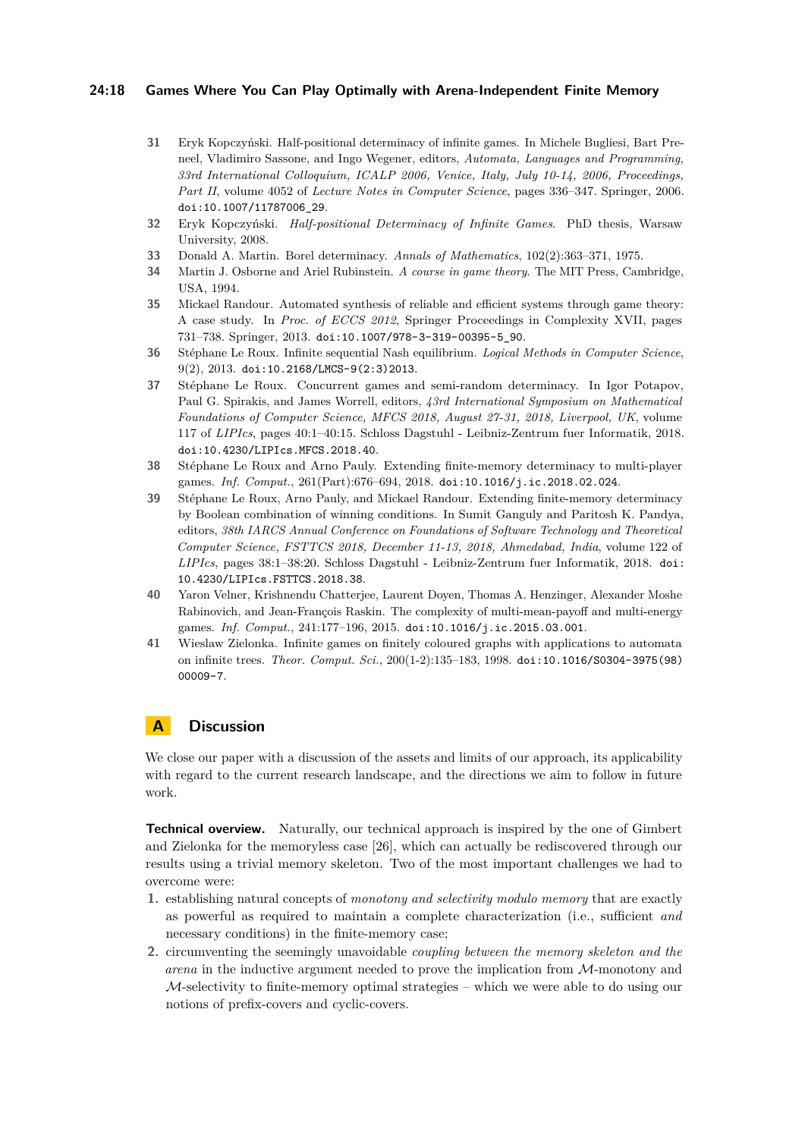## **24:18 Games Where You Can Play Optimally with Arena-Independent Finite Memory**

- <span id="page-17-4"></span>**31** Eryk Kopczyński. Half-positional determinacy of infinite games. In Michele Bugliesi, Bart Preneel, Vladimiro Sassone, and Ingo Wegener, editors, *Automata, Languages and Programming, 33rd International Colloquium, ICALP 2006, Venice, Italy, July 10-14, 2006, Proceedings, Part II*, volume 4052 of *Lecture Notes in Computer Science*, pages 336–347. Springer, 2006. [doi:10.1007/11787006\\_29](https://doi.org/10.1007/11787006_29).
- <span id="page-17-9"></span>**32** Eryk Kopczyński. *Half-positional Determinacy of Infinite Games*. PhD thesis, Warsaw University, 2008.
- <span id="page-17-8"></span>**33** Donald A. Martin. Borel determinacy. *Annals of Mathematics*, 102(2):363–371, 1975.
- <span id="page-17-7"></span>**34** Martin J. Osborne and Ariel Rubinstein. *A course in game theory*. The MIT Press, Cambridge, USA, 1994.
- <span id="page-17-0"></span>**35** Mickael Randour. Automated synthesis of reliable and efficient systems through game theory: A case study. In *Proc. of ECCS 2012*, Springer Proceedings in Complexity XVII, pages 731–738. Springer, 2013. [doi:10.1007/978-3-319-00395-5\\_90](https://doi.org/10.1007/978-3-319-00395-5_90).
- <span id="page-17-6"></span>**36** Stéphane Le Roux. Infinite sequential Nash equilibrium. *Logical Methods in Computer Science*, 9(2), 2013. [doi:10.2168/LMCS-9\(2:3\)2013](https://doi.org/10.2168/LMCS-9(2:3)2013).
- <span id="page-17-10"></span>**37** Stéphane Le Roux. Concurrent games and semi-random determinacy. In Igor Potapov, Paul G. Spirakis, and James Worrell, editors, *43rd International Symposium on Mathematical Foundations of Computer Science, MFCS 2018, August 27-31, 2018, Liverpool, UK*, volume 117 of *LIPIcs*, pages 40:1–40:15. Schloss Dagstuhl - Leibniz-Zentrum fuer Informatik, 2018. [doi:10.4230/LIPIcs.MFCS.2018.40](https://doi.org/10.4230/LIPIcs.MFCS.2018.40).
- <span id="page-17-11"></span>**38** Stéphane Le Roux and Arno Pauly. Extending finite-memory determinacy to multi-player games. *Inf. Comput.*, 261(Part):676–694, 2018. [doi:10.1016/j.ic.2018.02.024](https://doi.org/10.1016/j.ic.2018.02.024).
- <span id="page-17-2"></span>**39** Stéphane Le Roux, Arno Pauly, and Mickael Randour. Extending finite-memory determinacy by Boolean combination of winning conditions. In Sumit Ganguly and Paritosh K. Pandya, editors, *38th IARCS Annual Conference on Foundations of Software Technology and Theoretical Computer Science, FSTTCS 2018, December 11-13, 2018, Ahmedabad, India*, volume 122 of *LIPIcs*, pages 38:1–38:20. Schloss Dagstuhl - Leibniz-Zentrum fuer Informatik, 2018. [doi:](https://doi.org/10.4230/LIPIcs.FSTTCS.2018.38) [10.4230/LIPIcs.FSTTCS.2018.38](https://doi.org/10.4230/LIPIcs.FSTTCS.2018.38).
- <span id="page-17-1"></span>**40** Yaron Velner, Krishnendu Chatterjee, Laurent Doyen, Thomas A. Henzinger, Alexander Moshe Rabinovich, and Jean-François Raskin. The complexity of multi-mean-payoff and multi-energy games. *Inf. Comput.*, 241:177–196, 2015. [doi:10.1016/j.ic.2015.03.001](https://doi.org/10.1016/j.ic.2015.03.001).
- <span id="page-17-3"></span>**41** Wieslaw Zielonka. Infinite games on finitely coloured graphs with applications to automata on infinite trees. *Theor. Comput. Sci.*, 200(1-2):135–183, 1998. [doi:10.1016/S0304-3975\(98\)](https://doi.org/10.1016/S0304-3975(98)00009-7) [00009-7](https://doi.org/10.1016/S0304-3975(98)00009-7).

# <span id="page-17-5"></span>**A Discussion**

We close our paper with a discussion of the assets and limits of our approach, its applicability with regard to the current research landscape, and the directions we aim to follow in future work.

**Technical overview.** Naturally, our technical approach is inspired by the one of Gimbert and Zielonka for the memoryless case [\[26\]](#page-16-0), which can actually be rediscovered through our results using a trivial memory skeleton. Two of the most important challenges we had to overcome were:

- **1.** establishing natural concepts of *monotony and selectivity modulo memory* that are exactly as powerful as required to maintain a complete characterization (i.e., sufficient *and* necessary conditions) in the finite-memory case;
- **2.** circumventing the seemingly unavoidable *coupling between the memory skeleton and the arena* in the inductive argument needed to prove the implication from M-monotony and M-selectivity to finite-memory optimal strategies – which we were able to do using our notions of prefix-covers and cyclic-covers.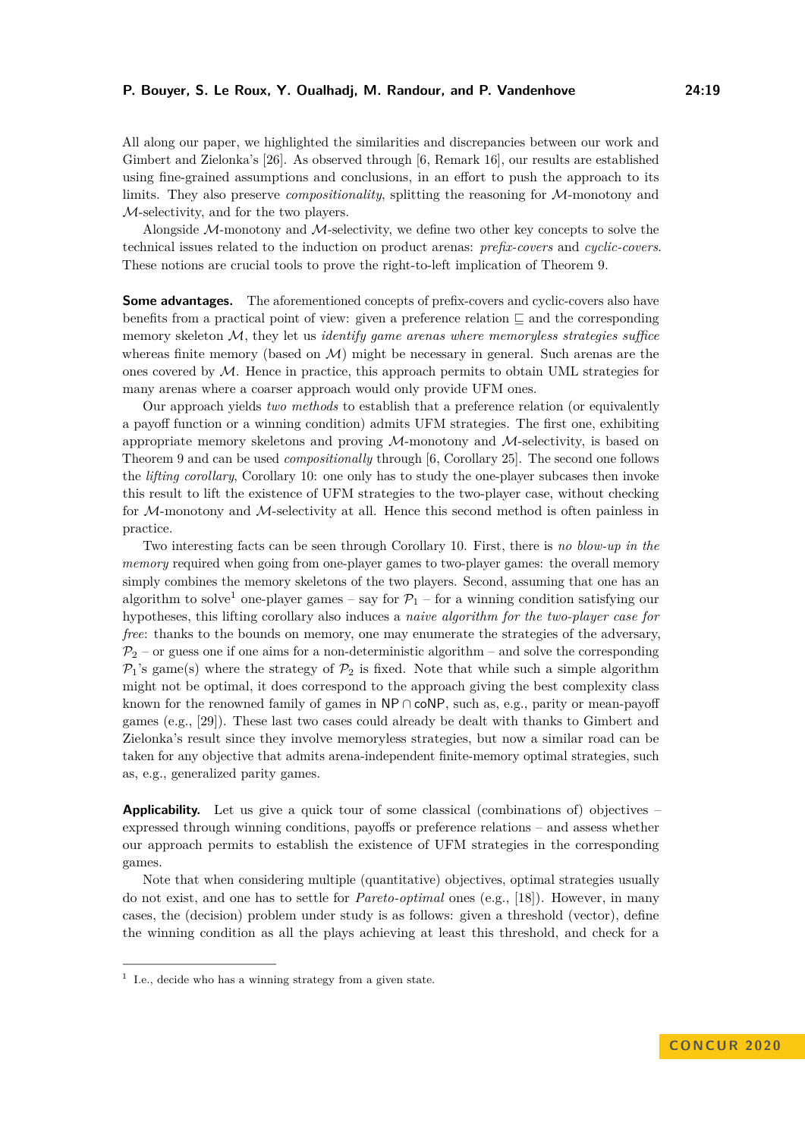All along our paper, we highlighted the similarities and discrepancies between our work and Gimbert and Zielonka's [\[26\]](#page-16-0). As observed through [\[6,](#page-15-10) Remark 16], our results are established using fine-grained assumptions and conclusions, in an effort to push the approach to its limits. They also preserve *compositionality*, splitting the reasoning for M-monotony and M-selectivity, and for the two players.

Alongside  $M$ -monotony and  $M$ -selectivity, we define two other key concepts to solve the technical issues related to the induction on product arenas: *prefix-covers* and *cyclic-covers*. These notions are crucial tools to prove the right-to-left implication of Theorem [9.](#page-10-1)

**Some advantages.** The aforementioned concepts of prefix-covers and cyclic-covers also have benefits from a practical point of view: given a preference relation  $\Box$  and the corresponding memory skeleton M, they let us *identify game arenas where memoryless strategies suffice* whereas finite memory (based on  $\mathcal{M}$ ) might be necessary in general. Such arenas are the ones covered by M. Hence in practice, this approach permits to obtain UML strategies for many arenas where a coarser approach would only provide UFM ones.

Our approach yields *two methods* to establish that a preference relation (or equivalently a payoff function or a winning condition) admits UFM strategies. The first one, exhibiting appropriate memory skeletons and proving  $M$ -monotony and  $M$ -selectivity, is based on Theorem [9](#page-10-1) and can be used *compositionally* through [\[6,](#page-15-10) Corollary 25]. The second one follows the *lifting corollary*, Corollary [10:](#page-10-2) one only has to study the one-player subcases then invoke this result to lift the existence of UFM strategies to the two-player case, without checking for M-monotony and M-selectivity at all. Hence this second method is often painless in practice.

Two interesting facts can be seen through Corollary [10.](#page-10-2) First, there is *no blow-up in the memory* required when going from one-player games to two-player games: the overall memory simply combines the memory skeletons of the two players. Second, assuming that one has an algorithm to solve<sup>[1](#page-18-0)</sup> one-player games – say for  $\mathcal{P}_1$  – for a winning condition satisfying our hypotheses, this lifting corollary also induces a *naive algorithm for the two-player case for free*: thanks to the bounds on memory, one may enumerate the strategies of the adversary,  $\mathcal{P}_2$  – or guess one if one aims for a non-deterministic algorithm – and solve the corresponding  $P_1$ 's game(s) where the strategy of  $P_2$  is fixed. Note that while such a simple algorithm might not be optimal, it does correspond to the approach giving the best complexity class known for the renowned family of games in  $\mathsf{NP} \cap \mathsf{coNP}$ , such as, e.g., parity or mean-payoff games (e.g., [\[29\]](#page-16-9)). These last two cases could already be dealt with thanks to Gimbert and Zielonka's result since they involve memoryless strategies, but now a similar road can be taken for any objective that admits arena-independent finite-memory optimal strategies, such as, e.g., generalized parity games.

**Applicability.** Let us give a quick tour of some classical (combinations of) objectives – expressed through winning conditions, payoffs or preference relations – and assess whether our approach permits to establish the existence of UFM strategies in the corresponding games.

Note that when considering multiple (quantitative) objectives, optimal strategies usually do not exist, and one has to settle for *Pareto-optimal* ones (e.g., [\[18\]](#page-16-10)). However, in many cases, the (decision) problem under study is as follows: given a threshold (vector), define the winning condition as all the plays achieving at least this threshold, and check for a

<span id="page-18-0"></span><sup>&</sup>lt;sup>1</sup> I.e., decide who has a winning strategy from a given state.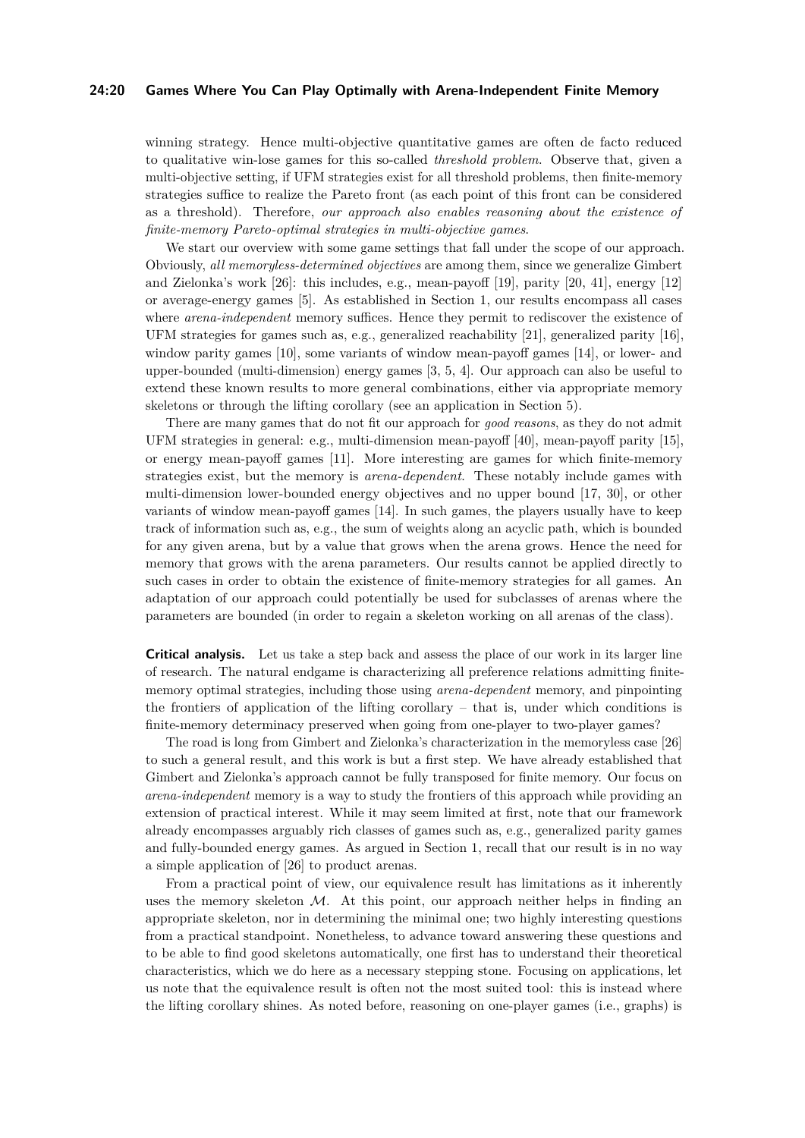## **24:20 Games Where You Can Play Optimally with Arena-Independent Finite Memory**

winning strategy. Hence multi-objective quantitative games are often de facto reduced to qualitative win-lose games for this so-called *threshold problem*. Observe that, given a multi-objective setting, if UFM strategies exist for all threshold problems, then finite-memory strategies suffice to realize the Pareto front (as each point of this front can be considered as a threshold). Therefore, *our approach also enables reasoning about the existence of finite-memory Pareto-optimal strategies in multi-objective games*.

We start our overview with some game settings that fall under the scope of our approach. Obviously, *all memoryless-determined objectives* are among them, since we generalize Gimbert and Zielonka's work [\[26\]](#page-16-0): this includes, e.g., mean-payoff [\[19\]](#page-16-4), parity [\[20,](#page-16-5) [41\]](#page-17-3), energy [\[12\]](#page-15-6) or average-energy games [\[5\]](#page-15-4). As established in Section [1,](#page-1-0) our results encompass all cases where *arena-independent* memory suffices. Hence they permit to rediscover the existence of UFM strategies for games such as, e.g., generalized reachability [\[21\]](#page-16-8), generalized parity [\[16\]](#page-15-7), window parity games [\[10\]](#page-15-2), some variants of window mean-payoff games [\[14\]](#page-15-1), or lower- and upper-bounded (multi-dimension) energy games [\[3,](#page-14-2) [5,](#page-15-4) [4\]](#page-15-3). Our approach can also be useful to extend these known results to more general combinations, either via appropriate memory skeletons or through the lifting corollary (see an application in Section [5\)](#page-11-0).

There are many games that do not fit our approach for *good reasons*, as they do not admit UFM strategies in general: e.g., multi-dimension mean-payoff [\[40\]](#page-17-1), mean-payoff parity [\[15\]](#page-15-11), or energy mean-payoff games [\[11\]](#page-15-5). More interesting are games for which finite-memory strategies exist, but the memory is *arena-dependent*. These notably include games with multi-dimension lower-bounded energy objectives and no upper bound [\[17,](#page-16-2) [30\]](#page-16-7), or other variants of window mean-payoff games [\[14\]](#page-15-1). In such games, the players usually have to keep track of information such as, e.g., the sum of weights along an acyclic path, which is bounded for any given arena, but by a value that grows when the arena grows. Hence the need for memory that grows with the arena parameters. Our results cannot be applied directly to such cases in order to obtain the existence of finite-memory strategies for all games. An adaptation of our approach could potentially be used for subclasses of arenas where the parameters are bounded (in order to regain a skeleton working on all arenas of the class).

**Critical analysis.** Let us take a step back and assess the place of our work in its larger line of research. The natural endgame is characterizing all preference relations admitting finitememory optimal strategies, including those using *arena-dependent* memory, and pinpointing the frontiers of application of the lifting corollary – that is, under which conditions is finite-memory determinacy preserved when going from one-player to two-player games?

The road is long from Gimbert and Zielonka's characterization in the memoryless case [\[26\]](#page-16-0) to such a general result, and this work is but a first step. We have already established that Gimbert and Zielonka's approach cannot be fully transposed for finite memory. Our focus on *arena-independent* memory is a way to study the frontiers of this approach while providing an extension of practical interest. While it may seem limited at first, note that our framework already encompasses arguably rich classes of games such as, e.g., generalized parity games and fully-bounded energy games. As argued in Section [1,](#page-1-0) recall that our result is in no way a simple application of [\[26\]](#page-16-0) to product arenas.

From a practical point of view, our equivalence result has limitations as it inherently uses the memory skeleton  $M$ . At this point, our approach neither helps in finding an appropriate skeleton, nor in determining the minimal one; two highly interesting questions from a practical standpoint. Nonetheless, to advance toward answering these questions and to be able to find good skeletons automatically, one first has to understand their theoretical characteristics, which we do here as a necessary stepping stone. Focusing on applications, let us note that the equivalence result is often not the most suited tool: this is instead where the lifting corollary shines. As noted before, reasoning on one-player games (i.e., graphs) is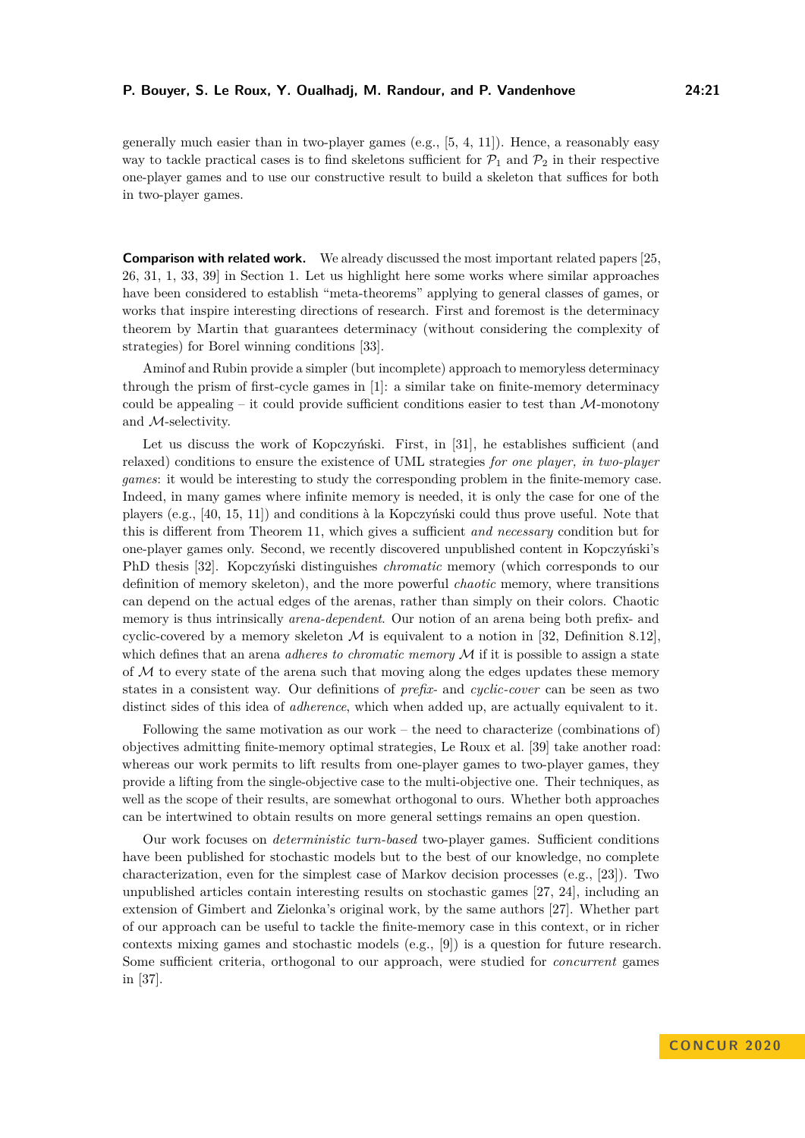generally much easier than in two-player games (e.g., [\[5,](#page-15-4) [4,](#page-15-3) [11\]](#page-15-5)). Hence, a reasonably easy way to tackle practical cases is to find skeletons sufficient for  $\mathcal{P}_1$  and  $\mathcal{P}_2$  in their respective one-player games and to use our constructive result to build a skeleton that suffices for both in two-player games.

**Comparison with related work.** We already discussed the most important related papers [\[25,](#page-16-6) [26,](#page-16-0) [31,](#page-17-4) [1,](#page-14-1) [33,](#page-17-8) [39\]](#page-17-2) in Section [1.](#page-1-0) Let us highlight here some works where similar approaches have been considered to establish "meta-theorems" applying to general classes of games, or works that inspire interesting directions of research. First and foremost is the determinacy theorem by Martin that guarantees determinacy (without considering the complexity of strategies) for Borel winning conditions [\[33\]](#page-17-8).

Aminof and Rubin provide a simpler (but incomplete) approach to memoryless determinacy through the prism of first-cycle games in [\[1\]](#page-14-1): a similar take on finite-memory determinacy could be appealing – it could provide sufficient conditions easier to test than  $\mathcal{M}\text{-monotony}$ and M-selectivity.

Let us discuss the work of Kopczyński. First, in [\[31\]](#page-17-4), he establishes sufficient (and relaxed) conditions to ensure the existence of UML strategies *for one player, in two-player games*: it would be interesting to study the corresponding problem in the finite-memory case. Indeed, in many games where infinite memory is needed, it is only the case for one of the players (e.g., [\[40,](#page-17-1) [15,](#page-15-11) [11\]](#page-15-5)) and conditions à la Kopczyński could thus prove useful. Note that this is different from Theorem [11,](#page-14-3) which gives a sufficient *and necessary* condition but for one-player games only. Second, we recently discovered unpublished content in Kopczyński's PhD thesis [\[32\]](#page-17-9). Kopczyński distinguishes *chromatic* memory (which corresponds to our definition of memory skeleton), and the more powerful *chaotic* memory, where transitions can depend on the actual edges of the arenas, rather than simply on their colors. Chaotic memory is thus intrinsically *arena-dependent*. Our notion of an arena being both prefix- and cyclic-covered by a memory skeleton  $\mathcal M$  is equivalent to a notion in [\[32,](#page-17-9) Definition 8.12]. which defines that an arena *adheres to chromatic memory*  $\mathcal M$  if it is possible to assign a state of  $M$  to every state of the arena such that moving along the edges updates these memory states in a consistent way. Our definitions of *prefix-* and *cyclic-cover* can be seen as two distinct sides of this idea of *adherence*, which when added up, are actually equivalent to it.

Following the same motivation as our work – the need to characterize (combinations of) objectives admitting finite-memory optimal strategies, Le Roux et al. [\[39\]](#page-17-2) take another road: whereas our work permits to lift results from one-player games to two-player games, they provide a lifting from the single-objective case to the multi-objective one. Their techniques, as well as the scope of their results, are somewhat orthogonal to ours. Whether both approaches can be intertwined to obtain results on more general settings remains an open question.

Our work focuses on *deterministic turn-based* two-player games. Sufficient conditions have been published for stochastic models but to the best of our knowledge, no complete characterization, even for the simplest case of Markov decision processes (e.g., [\[23\]](#page-16-11)). Two unpublished articles contain interesting results on stochastic games [\[27,](#page-16-12) [24\]](#page-16-13), including an extension of Gimbert and Zielonka's original work, by the same authors [\[27\]](#page-16-12). Whether part of our approach can be useful to tackle the finite-memory case in this context, or in richer contexts mixing games and stochastic models (e.g., [\[9\]](#page-15-12)) is a question for future research. Some sufficient criteria, orthogonal to our approach, were studied for *concurrent* games in [\[37\]](#page-17-10).